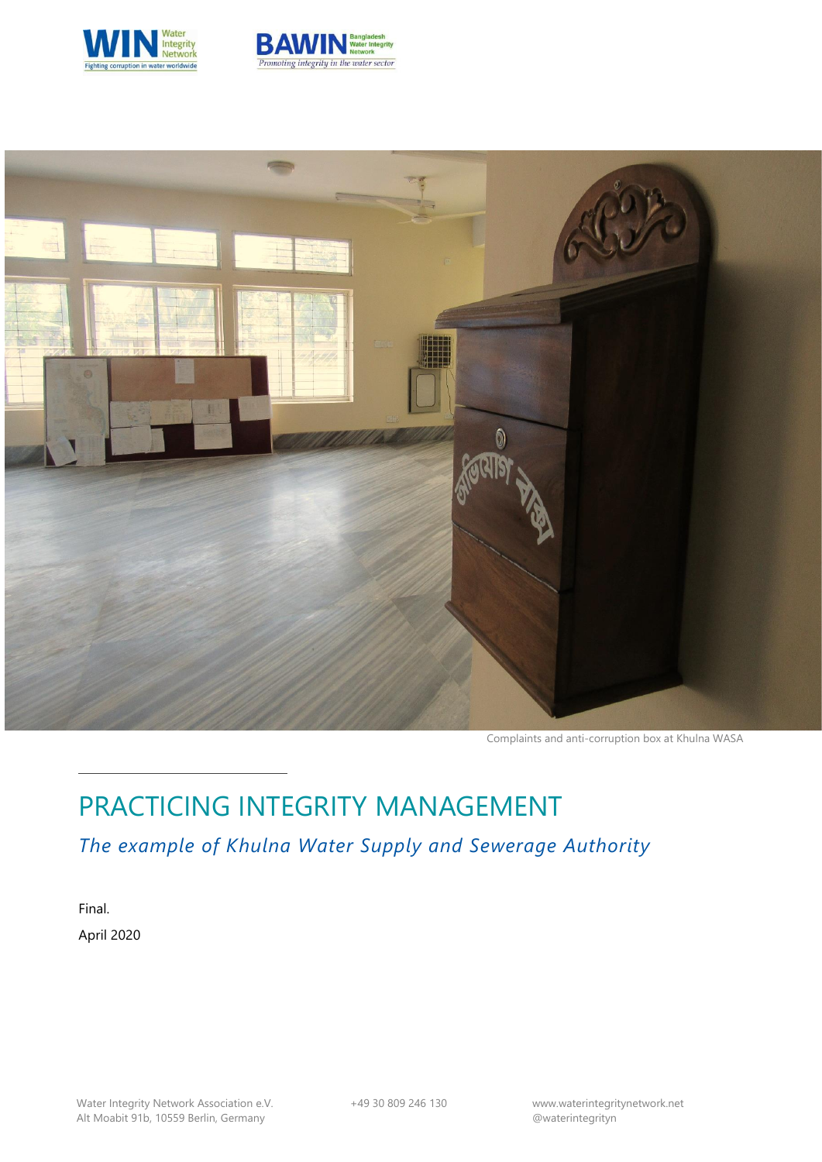





# PRACTICING INTEGRITY MANAGEMENT

*The example of Khulna Water Supply and Sewerage Authority*

Final. April 2020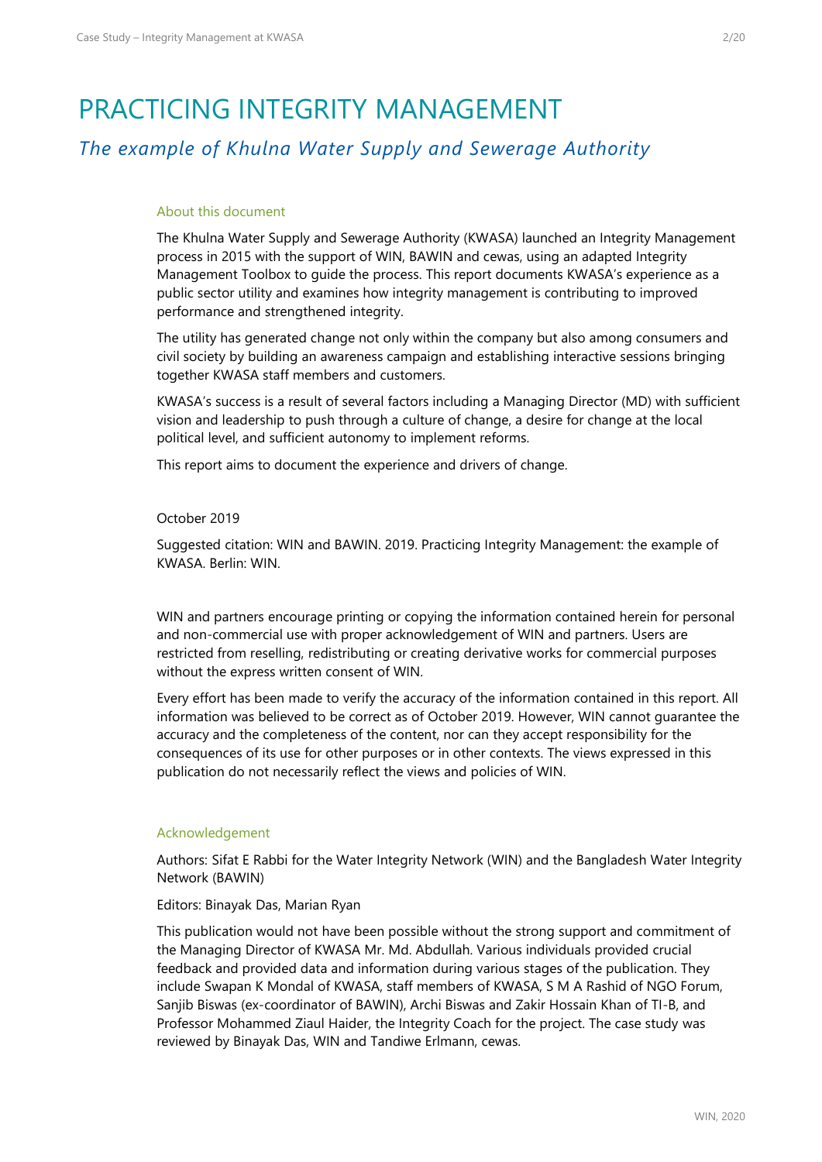# PRACTICING INTEGRITY MANAGEMENT

# *The example of Khulna Water Supply and Sewerage Authority*

#### About this document

The Khulna Water Supply and Sewerage Authority (KWASA) launched an Integrity Management process in 2015 with the support of WIN, BAWIN and cewas, using an adapted Integrity Management Toolbox to guide the process. This report documents KWASA's experience as a public sector utility and examines how integrity management is contributing to improved performance and strengthened integrity.

The utility has generated change not only within the company but also among consumers and civil society by building an awareness campaign and establishing interactive sessions bringing together KWASA staff members and customers.

KWASA's success is a result of several factors including a Managing Director (MD) with sufficient vision and leadership to push through a culture of change, a desire for change at the local political level, and sufficient autonomy to implement reforms.

This report aims to document the experience and drivers of change.

#### October 2019

Suggested citation: WIN and BAWIN. 2019. Practicing Integrity Management: the example of KWASA. Berlin: WIN.

WIN and partners encourage printing or copying the information contained herein for personal and non-commercial use with proper acknowledgement of WIN and partners. Users are restricted from reselling, redistributing or creating derivative works for commercial purposes without the express written consent of WIN.

Every effort has been made to verify the accuracy of the information contained in this report. All information was believed to be correct as of October 2019. However, WIN cannot guarantee the accuracy and the completeness of the content, nor can they accept responsibility for the consequences of its use for other purposes or in other contexts. The views expressed in this publication do not necessarily reflect the views and policies of WIN.

# Acknowledgement

Authors: Sifat E Rabbi for the Water Integrity Network (WIN) and the Bangladesh Water Integrity Network (BAWIN)

#### Editors: Binayak Das, Marian Ryan

This publication would not have been possible without the strong support and commitment of the Managing Director of KWASA Mr. Md. Abdullah. Various individuals provided crucial feedback and provided data and information during various stages of the publication. They include Swapan K Mondal of KWASA, staff members of KWASA, S M A Rashid of NGO Forum, Sanjib Biswas (ex-coordinator of BAWIN), Archi Biswas and Zakir Hossain Khan of TI-B, and Professor Mohammed Ziaul Haider, the Integrity Coach for the project. The case study was reviewed by Binayak Das, WIN and Tandiwe Erlmann, cewas.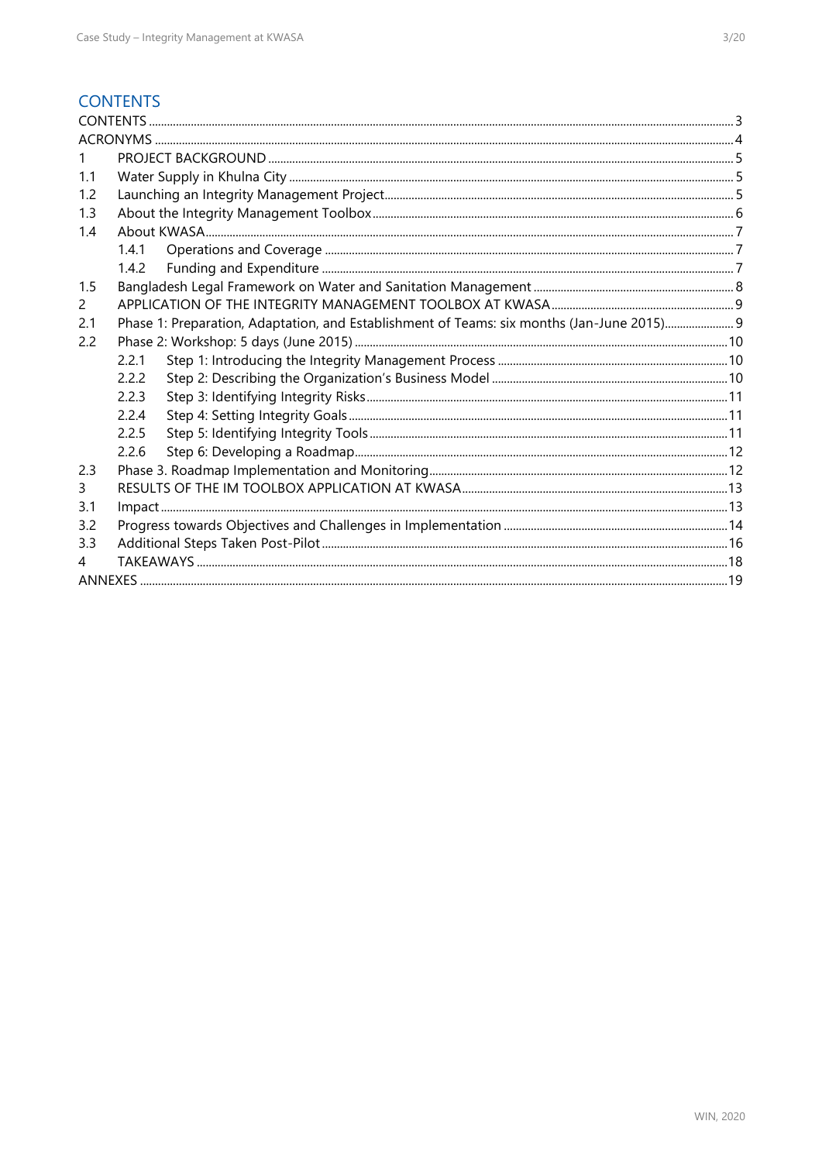# <span id="page-2-0"></span>**CONTENTS**

| 1   |                                                                                            |  |
|-----|--------------------------------------------------------------------------------------------|--|
| 1.1 |                                                                                            |  |
| 1.2 |                                                                                            |  |
| 1.3 |                                                                                            |  |
| 1.4 |                                                                                            |  |
|     | 1.4.1                                                                                      |  |
|     | 1.4.2                                                                                      |  |
| 1.5 |                                                                                            |  |
| 2   |                                                                                            |  |
| 2.1 | Phase 1: Preparation, Adaptation, and Establishment of Teams: six months (Jan-June 2015) 9 |  |
| 2.2 |                                                                                            |  |
|     | 2.2.1                                                                                      |  |
|     | 2.2.2                                                                                      |  |
|     | 2.2.3                                                                                      |  |
|     | 2.2.4                                                                                      |  |
|     | 2.2.5                                                                                      |  |
|     | 2.2.6                                                                                      |  |
| 2.3 |                                                                                            |  |
| 3   |                                                                                            |  |
| 3.1 |                                                                                            |  |
| 3.2 |                                                                                            |  |
| 3.3 |                                                                                            |  |
| 4   |                                                                                            |  |
|     |                                                                                            |  |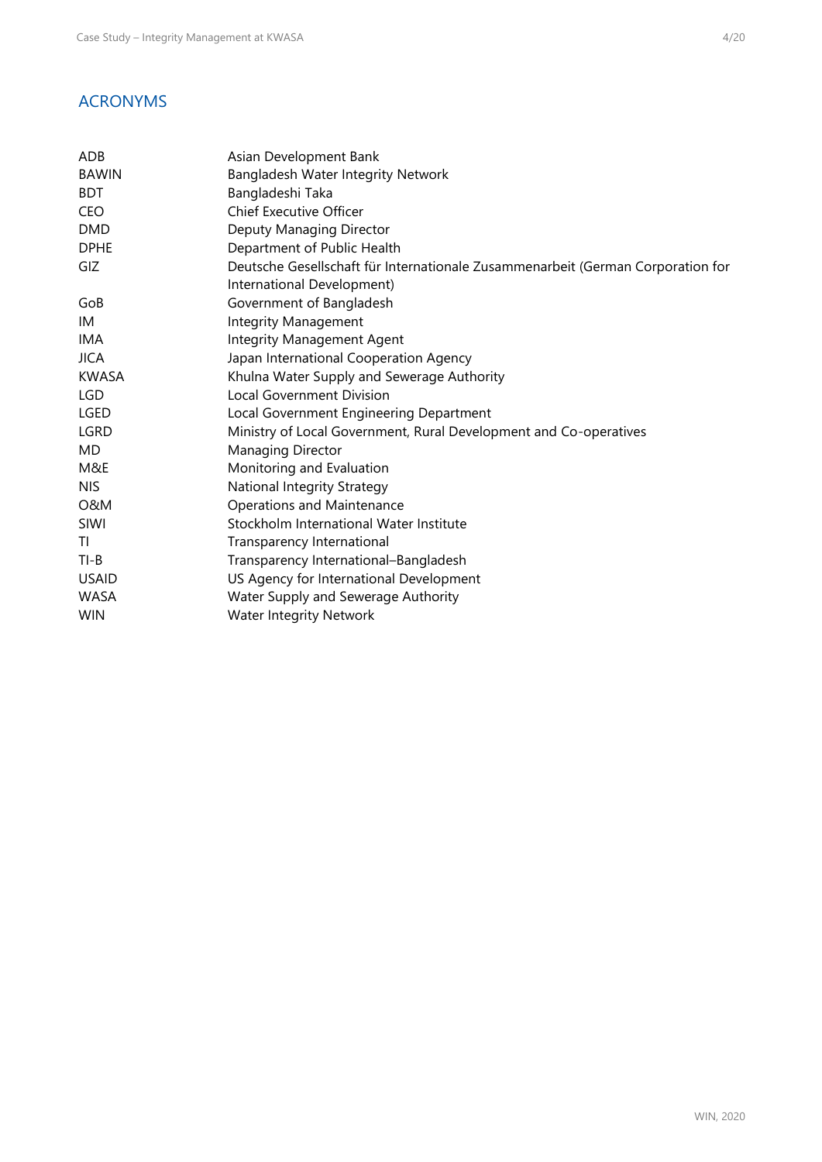# <span id="page-3-0"></span>ACRONYMS

| ADB          | Asian Development Bank                                                          |
|--------------|---------------------------------------------------------------------------------|
| <b>BAWIN</b> | Bangladesh Water Integrity Network                                              |
| <b>BDT</b>   | Bangladeshi Taka                                                                |
| CEO          | <b>Chief Executive Officer</b>                                                  |
| <b>DMD</b>   | Deputy Managing Director                                                        |
| <b>DPHE</b>  | Department of Public Health                                                     |
| GIZ          | Deutsche Gesellschaft für Internationale Zusammenarbeit (German Corporation for |
|              | International Development)                                                      |
| GoB          | Government of Bangladesh                                                        |
| IM           | <b>Integrity Management</b>                                                     |
| <b>IMA</b>   | <b>Integrity Management Agent</b>                                               |
| JICA         | Japan International Cooperation Agency                                          |
| <b>KWASA</b> | Khulna Water Supply and Sewerage Authority                                      |
| LGD          | <b>Local Government Division</b>                                                |
| LGED         | Local Government Engineering Department                                         |
| LGRD         | Ministry of Local Government, Rural Development and Co-operatives               |
| MD           | Managing Director                                                               |
| M&E          | Monitoring and Evaluation                                                       |
| <b>NIS</b>   | National Integrity Strategy                                                     |
| 0&M          | <b>Operations and Maintenance</b>                                               |
| SIWI         | Stockholm International Water Institute                                         |
| TI           | Transparency International                                                      |
| $TI-B$       | Transparency International-Bangladesh                                           |
| <b>USAID</b> | US Agency for International Development                                         |
| WASA         | Water Supply and Sewerage Authority                                             |
| <b>WIN</b>   | <b>Water Integrity Network</b>                                                  |
|              |                                                                                 |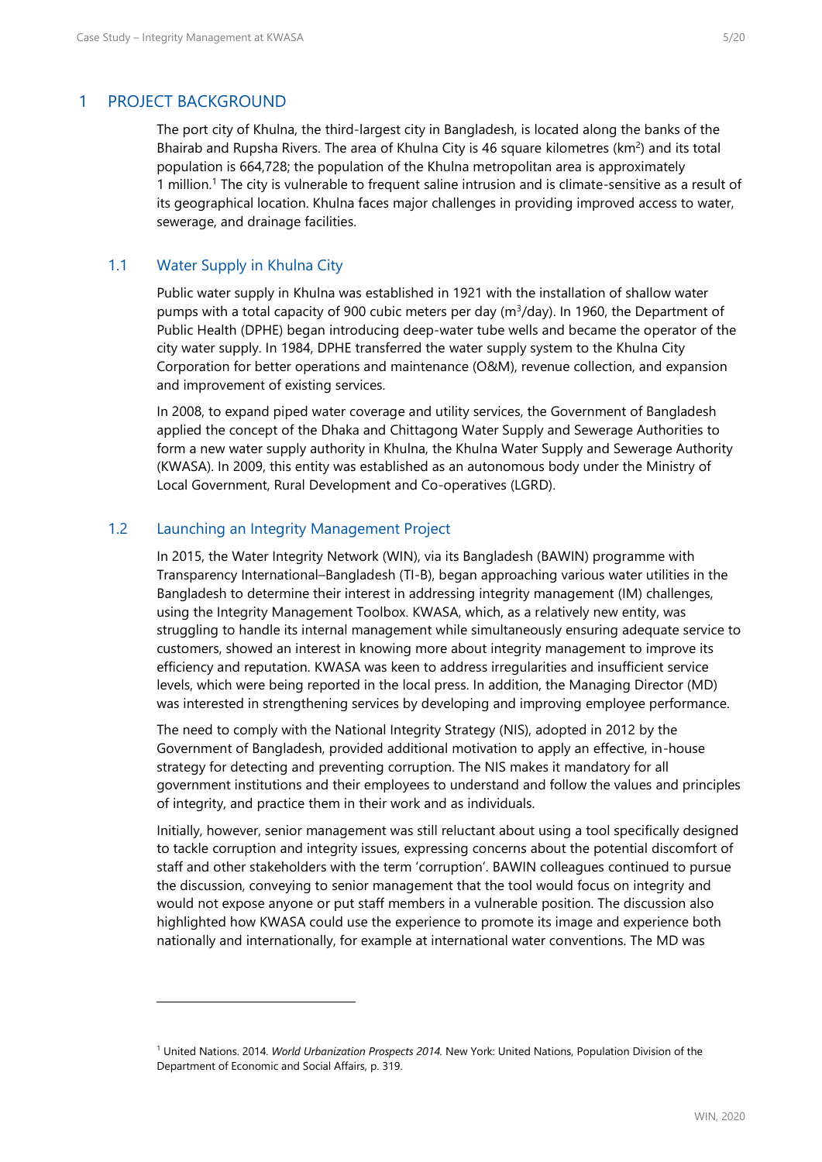# <span id="page-4-0"></span>1 PROJECT BACKGROUND

l

The port city of Khulna, the third-largest city in Bangladesh, is located along the banks of the Bhairab and Rupsha Rivers. The area of Khulna City is 46 square kilometres ( $km<sup>2</sup>$ ) and its total population is 664,728; the population of the Khulna metropolitan area is approximately 1 million.<sup>1</sup> The city is vulnerable to frequent saline intrusion and is climate-sensitive as a result of its geographical location. Khulna faces major challenges in providing improved access to water, sewerage, and drainage facilities.

#### <span id="page-4-1"></span>1.1 Water Supply in Khulna City

Public water supply in Khulna was established in 1921 with the installation of shallow water pumps with a total capacity of 900 cubic meters per day  $(m^3/day)$ . In 1960, the Department of Public Health (DPHE) began introducing deep-water tube wells and became the operator of the city water supply. In 1984, DPHE transferred the water supply system to the Khulna City Corporation for better operations and maintenance (O&M), revenue collection, and expansion and improvement of existing services.

In 2008, to expand piped water coverage and utility services, the Government of Bangladesh applied the concept of the Dhaka and Chittagong Water Supply and Sewerage Authorities to form a new water supply authority in Khulna, the Khulna Water Supply and Sewerage Authority (KWASA). In 2009, this entity was established as an autonomous body under the Ministry of Local Government, Rural Development and Co-operatives (LGRD).

# <span id="page-4-2"></span>1.2 Launching an Integrity Management Project

In 2015, the Water Integrity Network (WIN), via its Bangladesh (BAWIN) programme with Transparency International–Bangladesh (TI-B), began approaching various water utilities in the Bangladesh to determine their interest in addressing integrity management (IM) challenges, using the Integrity Management Toolbox. KWASA, which, as a relatively new entity, was struggling to handle its internal management while simultaneously ensuring adequate service to customers, showed an interest in knowing more about integrity management to improve its efficiency and reputation. KWASA was keen to address irregularities and insufficient service levels, which were being reported in the local press. In addition, the Managing Director (MD) was interested in strengthening services by developing and improving employee performance.

The need to comply with the National Integrity Strategy (NIS), adopted in 2012 by the Government of Bangladesh, provided additional motivation to apply an effective, in-house strategy for detecting and preventing corruption. The NIS makes it mandatory for all government institutions and their employees to understand and follow the values and principles of integrity, and practice them in their work and as individuals.

Initially, however, senior management was still reluctant about using a tool specifically designed to tackle corruption and integrity issues, expressing concerns about the potential discomfort of staff and other stakeholders with the term 'corruption'. BAWIN colleagues continued to pursue the discussion, conveying to senior management that the tool would focus on integrity and would not expose anyone or put staff members in a vulnerable position. The discussion also highlighted how KWASA could use the experience to promote its image and experience both nationally and internationally, for example at international water conventions. The MD was

<sup>1</sup> United Nations. 2014. *World Urbanization Prospects 2014.* New York: United Nations, Population Division of the Department of Economic and Social Affairs, p. 319.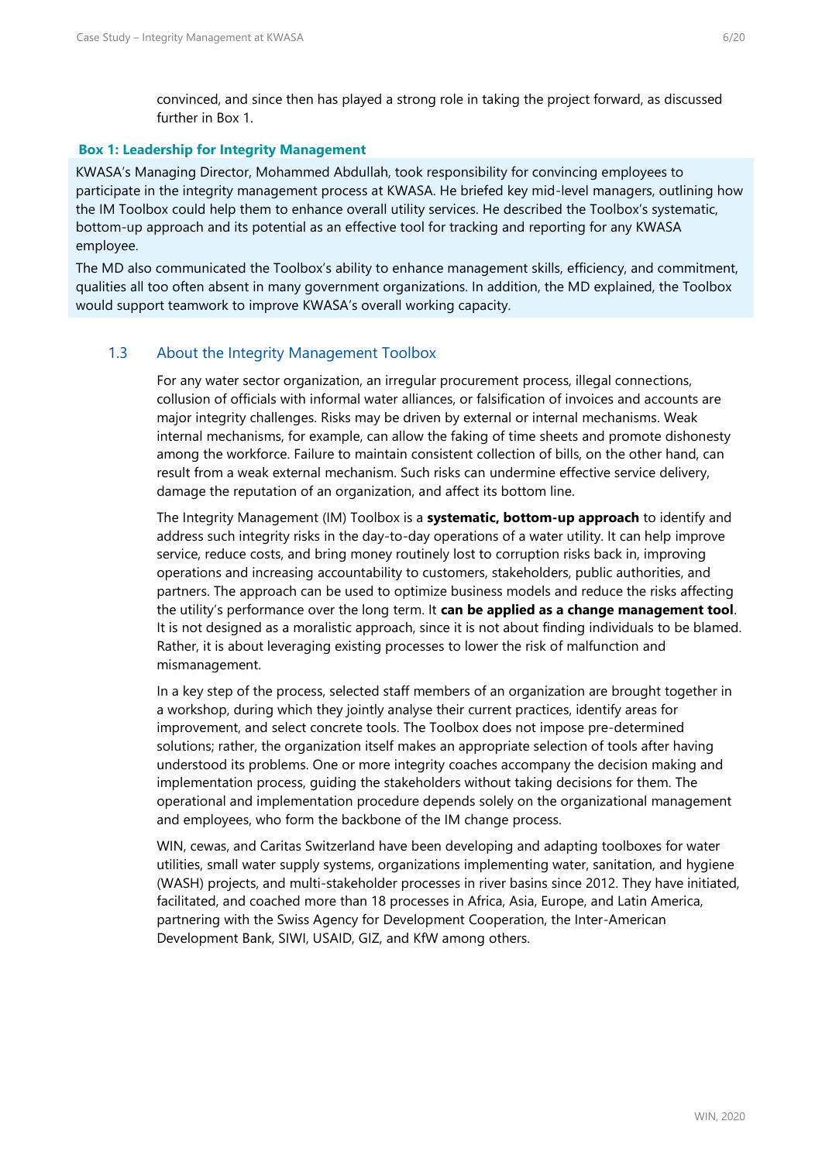convinced, and since then has played a strong role in taking the project forward, as discussed further in Box 1.

# **Box 1: Leadership for Integrity Management**

KWASA's Managing Director, Mohammed Abdullah, took responsibility for convincing employees to participate in the integrity management process at KWASA. He briefed key mid-level managers, outlining how the IM Toolbox could help them to enhance overall utility services. He described the Toolbox's systematic, bottom-up approach and its potential as an effective tool for tracking and reporting for any KWASA employee.

The MD also communicated the Toolbox's ability to enhance management skills, efficiency, and commitment, qualities all too often absent in many government organizations. In addition, the MD explained, the Toolbox would support teamwork to improve KWASA's overall working capacity.

# <span id="page-5-0"></span>1.3 About the Integrity Management Toolbox

For any water sector organization, an irregular procurement process, illegal connections, collusion of officials with informal water alliances, or falsification of invoices and accounts are major integrity challenges. Risks may be driven by external or internal mechanisms. Weak internal mechanisms, for example, can allow the faking of time sheets and promote dishonesty among the workforce. Failure to maintain consistent collection of bills, on the other hand, can result from a weak external mechanism. Such risks can undermine effective service delivery, damage the reputation of an organization, and affect its bottom line.

The Integrity Management (IM) Toolbox is a **systematic, bottom-up approach** to identify and address such integrity risks in the day-to-day operations of a water utility. It can help improve service, reduce costs, and bring money routinely lost to corruption risks back in, improving operations and increasing accountability to customers, stakeholders, public authorities, and partners. The approach can be used to optimize business models and reduce the risks affecting the utility's performance over the long term. It **can be applied as a change management tool**. It is not designed as a moralistic approach, since it is not about finding individuals to be blamed. Rather, it is about leveraging existing processes to lower the risk of malfunction and mismanagement.

In a key step of the process, selected staff members of an organization are brought together in a workshop, during which they jointly analyse their current practices, identify areas for improvement, and select concrete tools. The Toolbox does not impose pre-determined solutions; rather, the organization itself makes an appropriate selection of tools after having understood its problems. One or more integrity coaches accompany the decision making and implementation process, guiding the stakeholders without taking decisions for them. The operational and implementation procedure depends solely on the organizational management and employees, who form the backbone of the IM change process.

WIN, cewas, and Caritas Switzerland have been developing and adapting toolboxes for water utilities, small water supply systems, organizations implementing water, sanitation, and hygiene (WASH) projects, and multi-stakeholder processes in river basins since 2012. They have initiated, facilitated, and coached more than 18 processes in Africa, Asia, Europe, and Latin America, partnering with the Swiss Agency for Development Cooperation, the Inter-American Development Bank, SIWI, USAID, GIZ, and KfW among others.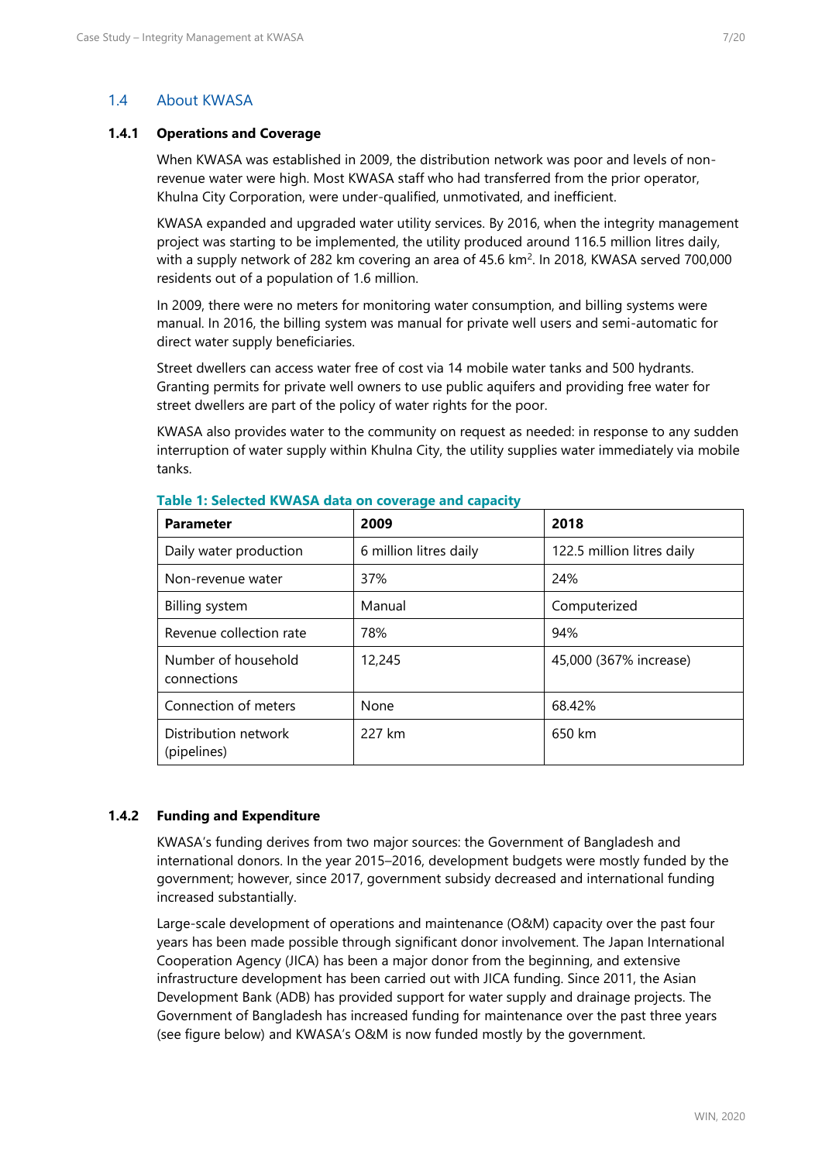# <span id="page-6-1"></span><span id="page-6-0"></span>1.4 About KWASA

# **1.4.1 Operations and Coverage**

When KWASA was established in 2009, the distribution network was poor and levels of nonrevenue water were high. Most KWASA staff who had transferred from the prior operator, Khulna City Corporation, were under-qualified, unmotivated, and inefficient.

KWASA expanded and upgraded water utility services. By 2016, when the integrity management project was starting to be implemented, the utility produced around 116.5 million litres daily, with a supply network of 282 km covering an area of 45.6 km<sup>2</sup>. In 2018, KWASA served 700,000 residents out of a population of 1.6 million.

In 2009, there were no meters for monitoring water consumption, and billing systems were manual. In 2016, the billing system was manual for private well users and semi-automatic for direct water supply beneficiaries.

Street dwellers can access water free of cost via 14 mobile water tanks and 500 hydrants. Granting permits for private well owners to use public aquifers and providing free water for street dwellers are part of the policy of water rights for the poor.

KWASA also provides water to the community on request as needed: in response to any sudden interruption of water supply within Khulna City, the utility supplies water immediately via mobile tanks.

| <b>Parameter</b>                    | 2009                   | 2018                       |
|-------------------------------------|------------------------|----------------------------|
| Daily water production              | 6 million litres daily | 122.5 million litres daily |
| Non-revenue water                   | 37%                    | 24%                        |
| <b>Billing system</b>               | Manual                 | Computerized               |
| Revenue collection rate             | 78%                    | 94%                        |
| Number of household<br>connections  | 12,245                 | 45,000 (367% increase)     |
| Connection of meters                | None                   | 68.42%                     |
| Distribution network<br>(pipelines) | 227 km                 | 650 km                     |

# **Table 1: Selected KWASA data on coverage and capacity**

# <span id="page-6-2"></span>**1.4.2 Funding and Expenditure**

KWASA's funding derives from two major sources: the Government of Bangladesh and international donors. In the year 2015–2016, development budgets were mostly funded by the government; however, since 2017, government subsidy decreased and international funding increased substantially.

Large-scale development of operations and maintenance (O&M) capacity over the past four years has been made possible through significant donor involvement. The Japan International Cooperation Agency (JICA) has been a major donor from the beginning, and extensive infrastructure development has been carried out with JICA funding. Since 2011, the Asian Development Bank (ADB) has provided support for water supply and drainage projects. The Government of Bangladesh has increased funding for maintenance over the past three years (see figure below) and KWASA's O&M is now funded mostly by the government.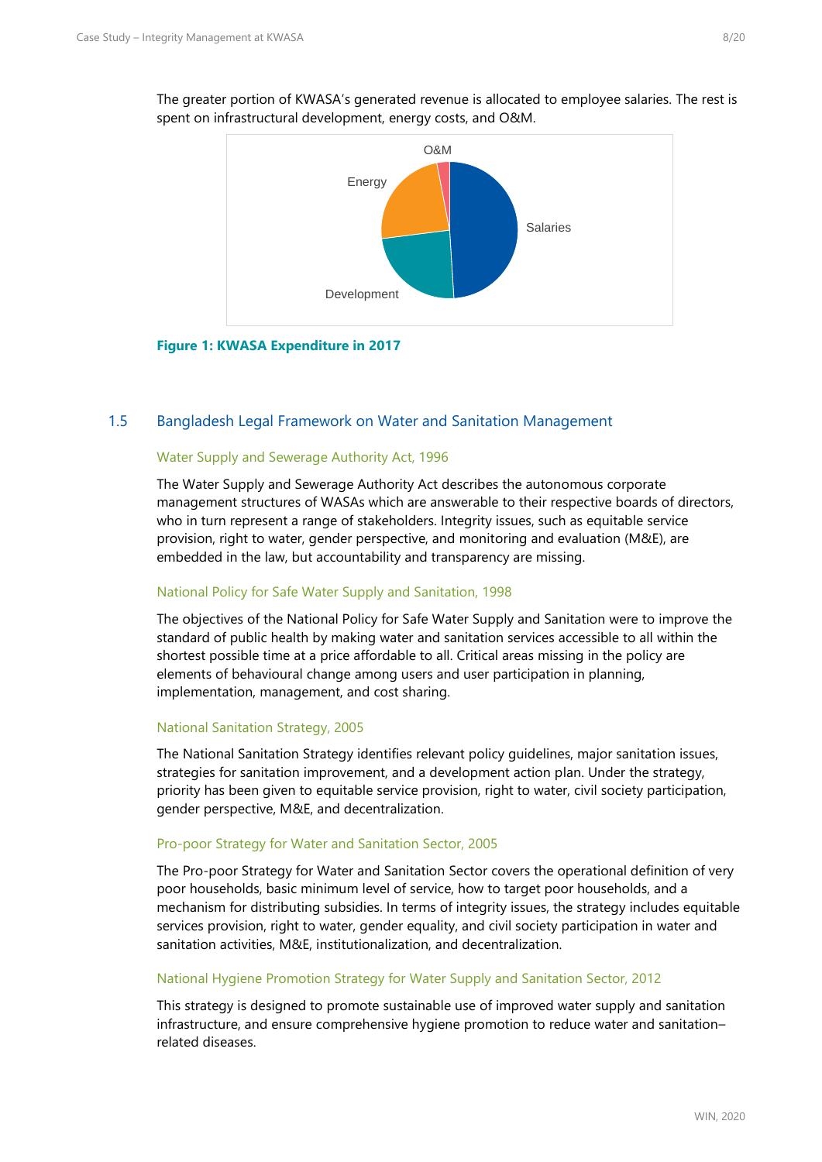

**Figure 1: KWASA Expenditure in 2017**

# <span id="page-7-0"></span>1.5 Bangladesh Legal Framework on Water and Sanitation Management

#### Water Supply and Sewerage Authority Act, 1996

The Water Supply and Sewerage Authority Act describes the autonomous corporate management structures of WASAs which are answerable to their respective boards of directors, who in turn represent a range of stakeholders. Integrity issues, such as equitable service provision, right to water, gender perspective, and monitoring and evaluation (M&E), are embedded in the law, but accountability and transparency are missing.

# National Policy for Safe Water Supply and Sanitation, 1998

The objectives of the National Policy for Safe Water Supply and Sanitation were to improve the standard of public health by making water and sanitation services accessible to all within the shortest possible time at a price affordable to all. Critical areas missing in the policy are elements of behavioural change among users and user participation in planning, implementation, management, and cost sharing.

#### National Sanitation Strategy, 2005

The National Sanitation Strategy identifies relevant policy guidelines, major sanitation issues, strategies for sanitation improvement, and a development action plan. Under the strategy, priority has been given to equitable service provision, right to water, civil society participation, gender perspective, M&E, and decentralization.

#### Pro-poor Strategy for Water and Sanitation Sector, 2005

The Pro-poor Strategy for Water and Sanitation Sector covers the operational definition of very poor households, basic minimum level of service, how to target poor households, and a mechanism for distributing subsidies. In terms of integrity issues, the strategy includes equitable services provision, right to water, gender equality, and civil society participation in water and sanitation activities, M&E, institutionalization, and decentralization.

# National Hygiene Promotion Strategy for Water Supply and Sanitation Sector, 2012

This strategy is designed to promote sustainable use of improved water supply and sanitation infrastructure, and ensure comprehensive hygiene promotion to reduce water and sanitation– related diseases.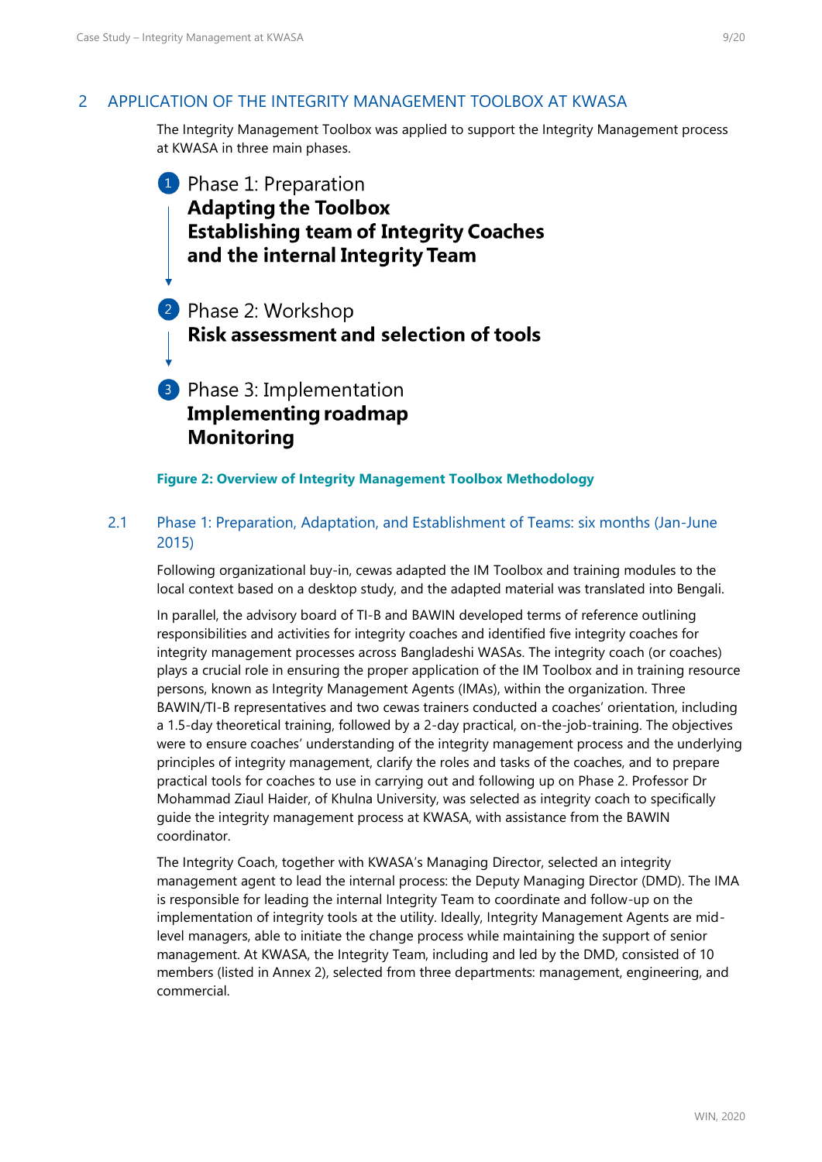# <span id="page-8-0"></span>2 APPLICATION OF THE INTEGRITY MANAGEMENT TOOLBOX AT KWASA

The Integrity Management Toolbox was applied to support the Integrity Management process at KWASA in three main phases.



# **Figure 2: Overview of Integrity Management Toolbox Methodology**

# <span id="page-8-1"></span>2.1 Phase 1: Preparation, Adaptation, and Establishment of Teams: six months (Jan-June 2015)

Following organizational buy-in, cewas adapted the IM Toolbox and training modules to the local context based on a desktop study, and the adapted material was translated into Bengali.

In parallel, the advisory board of TI-B and BAWIN developed terms of reference outlining responsibilities and activities for integrity coaches and identified five integrity coaches for integrity management processes across Bangladeshi WASAs. The integrity coach (or coaches) plays a crucial role in ensuring the proper application of the IM Toolbox and in training resource persons, known as Integrity Management Agents (IMAs), within the organization. Three BAWIN/TI-B representatives and two cewas trainers conducted a coaches' orientation, including a 1.5-day theoretical training, followed by a 2-day practical, on-the-job-training. The objectives were to ensure coaches' understanding of the integrity management process and the underlying principles of integrity management, clarify the roles and tasks of the coaches, and to prepare practical tools for coaches to use in carrying out and following up on Phase 2. Professor Dr Mohammad Ziaul Haider, of Khulna University, was selected as integrity coach to specifically guide the integrity management process at KWASA, with assistance from the BAWIN coordinator.

The Integrity Coach, together with KWASA's Managing Director, selected an integrity management agent to lead the internal process: the Deputy Managing Director (DMD). The IMA is responsible for leading the internal Integrity Team to coordinate and follow-up on the implementation of integrity tools at the utility. Ideally, Integrity Management Agents are midlevel managers, able to initiate the change process while maintaining the support of senior management. At KWASA, the Integrity Team, including and led by the DMD, consisted of 10 members (listed in Annex 2), selected from three departments: management, engineering, and commercial.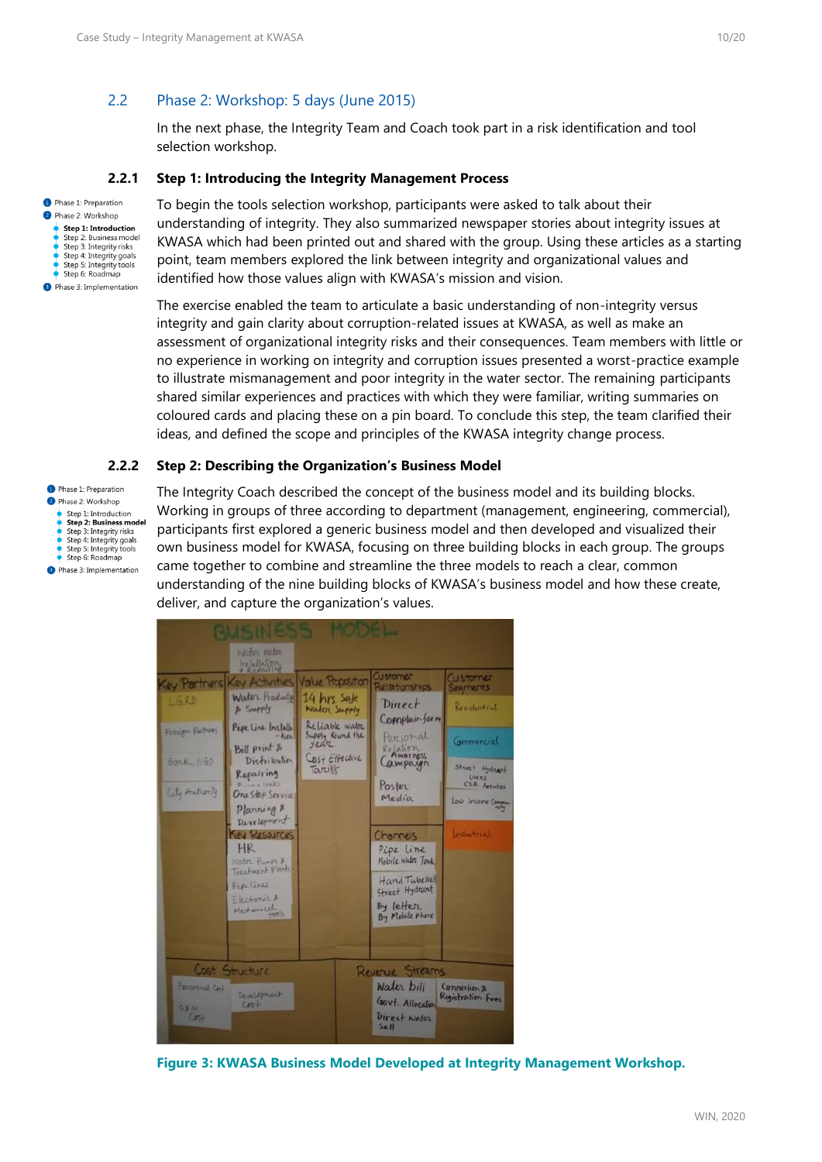# <span id="page-9-0"></span>2.2 Phase 2: Workshop: 5 days (June 2015)

In the next phase, the Integrity Team and Coach took part in a risk identification and tool selection workshop.

# <span id="page-9-1"></span>**2.2.1 Step 1: Introducing the Integrity Management Process**

Phase 1: Preparation Phase 2: Workshop **Step 1: Introduction** Step 2: Business mode Step 3: Integrity risks Step 4: Integrity goals Step 5: Integrity tools Step 6: Roadmap <sup>3</sup> Phase 3: Implementation

To begin the tools selection workshop, participants were asked to talk about their understanding of integrity. They also summarized newspaper stories about integrity issues at KWASA which had been printed out and shared with the group. Using these articles as a starting point, team members explored the link between integrity and organizational values and identified how those values align with KWASA's mission and vision.

The exercise enabled the team to articulate a basic understanding of non-integrity versus integrity and gain clarity about corruption-related issues at KWASA, as well as make an assessment of organizational integrity risks and their consequences. Team members with little or no experience in working on integrity and corruption issues presented a worst-practice example to illustrate mismanagement and poor integrity in the water sector. The remaining participants shared similar experiences and practices with which they were familiar, writing summaries on coloured cards and placing these on a pin board. To conclude this step, the team clarified their ideas, and defined the scope and principles of the KWASA integrity change process.

# <span id="page-9-2"></span>**2.2.2 Step 2: Describing the Organization's Business Model**



The Integrity Coach described the concept of the business model and its building blocks. Working in groups of three according to department (management, engineering, commercial), participants first explored a generic business model and then developed and visualized their own business model for KWASA, focusing on three building blocks in each group. The groups came together to combine and streamline the three models to reach a clear, common understanding of the nine building blocks of KWASA's business model and how these create, deliver, and capture the organization's values.



**Figure 3: KWASA Business Model Developed at Integrity Management Workshop.**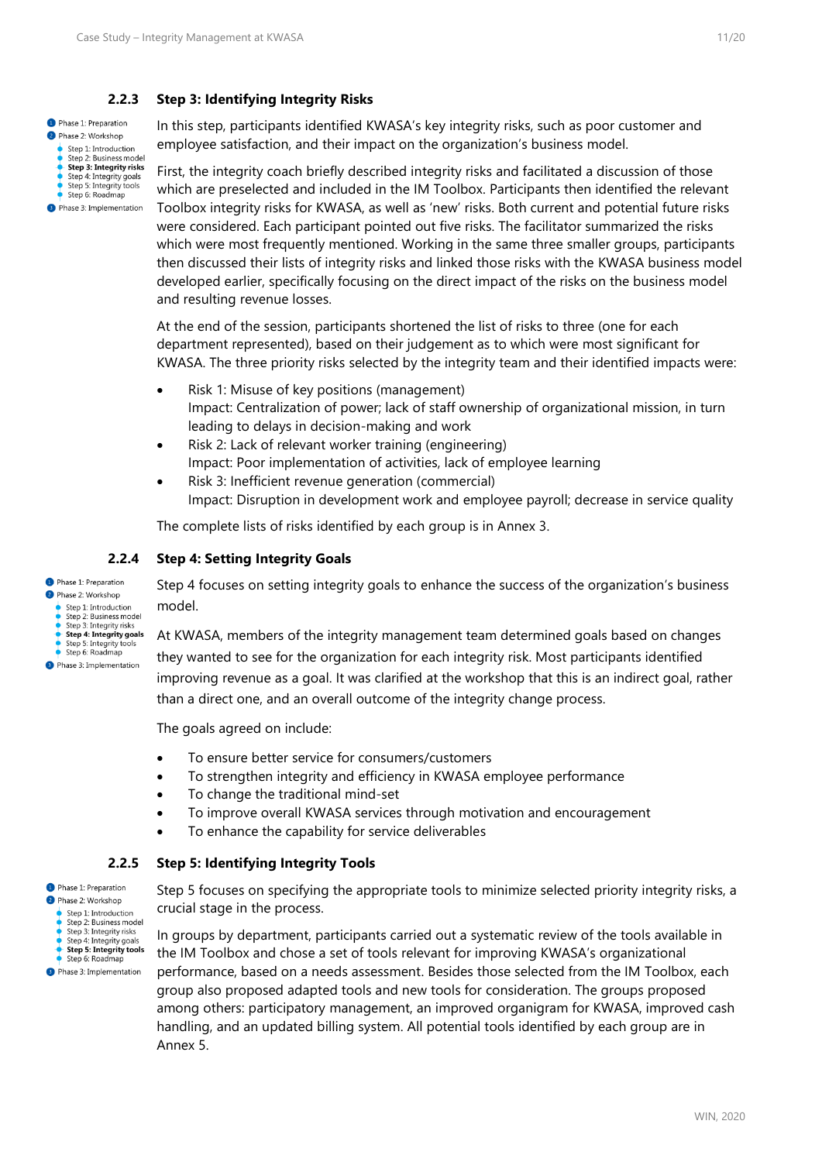<span id="page-10-0"></span>Phase 1: Preparation 2 Phase 2: Workshop Step 1: Introduction Step 2: Business model Step 3: Integrity risks Step 4: Integrity goals Step 5: Integrity tools Step 5: Integrity t **B** Phase 3: Implementation

In this step, participants identified KWASA's key integrity risks, such as poor customer and employee satisfaction, and their impact on the organization's business model.

First, the integrity coach briefly described integrity risks and facilitated a discussion of those which are preselected and included in the IM Toolbox. Participants then identified the relevant Toolbox integrity risks for KWASA, as well as 'new' risks. Both current and potential future risks were considered. Each participant pointed out five risks. The facilitator summarized the risks which were most frequently mentioned. Working in the same three smaller groups, participants then discussed their lists of integrity risks and linked those risks with the KWASA business model developed earlier, specifically focusing on the direct impact of the risks on the business model and resulting revenue losses.

At the end of the session, participants shortened the list of risks to three (one for each department represented), based on their judgement as to which were most significant for KWASA. The three priority risks selected by the integrity team and their identified impacts were:

- Risk 1: Misuse of key positions (management) Impact: Centralization of power; lack of staff ownership of organizational mission, in turn leading to delays in decision-making and work
- Risk 2: Lack of relevant worker training (engineering) Impact: Poor implementation of activities, lack of employee learning
- Risk 3: Inefficient revenue generation (commercial) Impact: Disruption in development work and employee payroll; decrease in service quality

The complete lists of risks identified by each group is in Annex 3.

# <span id="page-10-1"></span>**2.2.4 Step 4: Setting Integrity Goals**

Phase 1: Preparation Phase 2: Workshop Step 1: Introduction Step 2: Business model Step 3: Integrity risks Step 4: Integrity goals Step 5: Integrity tools Step 6: Roadmap Phase 3: Implementation

Step 4 focuses on setting integrity goals to enhance the success of the organization's business model.

At KWASA, members of the integrity management team determined goals based on changes they wanted to see for the organization for each integrity risk. Most participants identified improving revenue as a goal. It was clarified at the workshop that this is an indirect goal, rather than a direct one, and an overall outcome of the integrity change process.

The goals agreed on include:

- To ensure better service for consumers/customers
- To strengthen integrity and efficiency in KWASA employee performance
- To change the traditional mind-set
- To improve overall KWASA services through motivation and encouragement
- To enhance the capability for service deliverables

# <span id="page-10-2"></span>**2.2.5 Step 5: Identifying Integrity Tools**

Phase 1: Preparation 2 Phase 2: Workshop Step 1: Introduction Step 2: Business model Step 3: Integrity risks Step 4: Integrity goals Step 5: Integrity tools Step 6: Roadma Phase 3: Implementation

Step 5 focuses on specifying the appropriate tools to minimize selected priority integrity risks, a crucial stage in the process.

In groups by department, participants carried out a systematic review of the tools available in the IM Toolbox and chose a set of tools relevant for improving KWASA's organizational performance, based on a needs assessment. Besides those selected from the IM Toolbox, each group also proposed adapted tools and new tools for consideration. The groups proposed among others: participatory management, an improved organigram for KWASA, improved cash handling, and an updated billing system. All potential tools identified by each group are in Annex 5.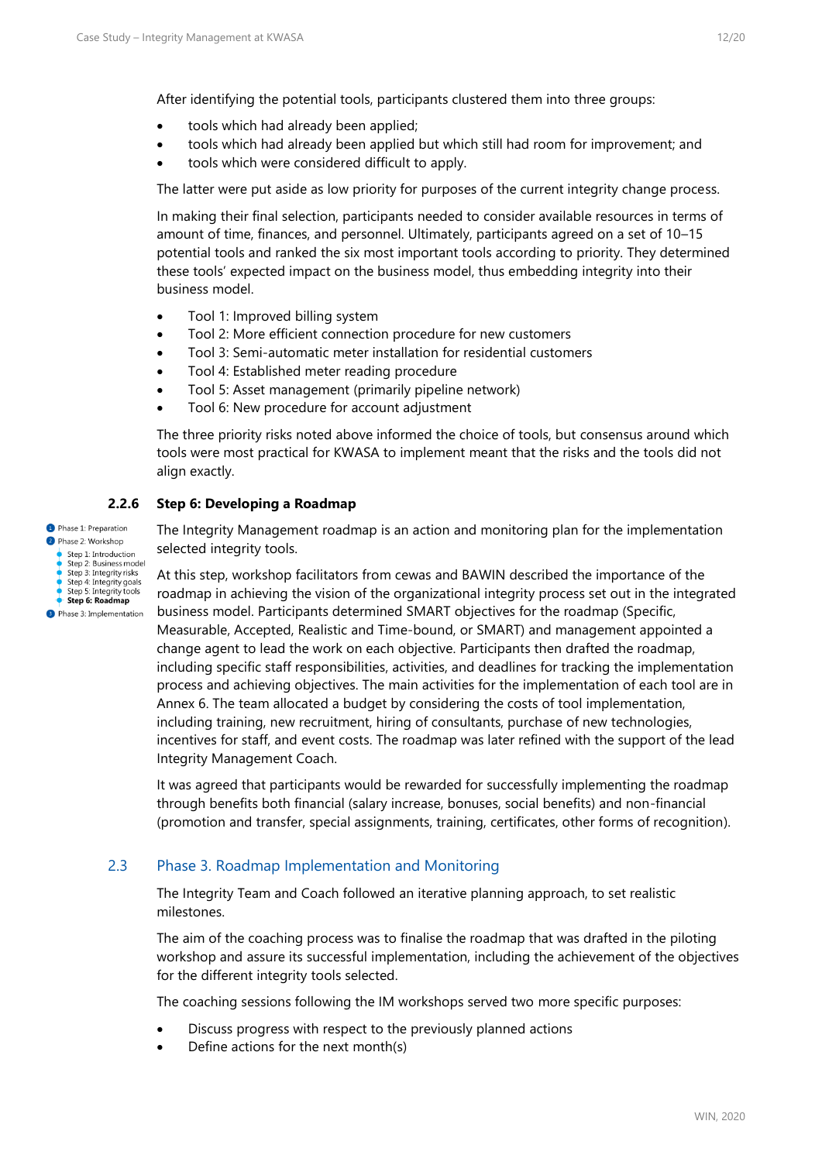After identifying the potential tools, participants clustered them into three groups:

- tools which had already been applied;
- tools which had already been applied but which still had room for improvement; and
- tools which were considered difficult to apply.

The latter were put aside as low priority for purposes of the current integrity change process.

In making their final selection, participants needed to consider available resources in terms of amount of time, finances, and personnel. Ultimately, participants agreed on a set of 10–15 potential tools and ranked the six most important tools according to priority. They determined these tools' expected impact on the business model, thus embedding integrity into their business model.

- Tool 1: Improved billing system
- Tool 2: More efficient connection procedure for new customers
- Tool 3: Semi-automatic meter installation for residential customers
- Tool 4: Established meter reading procedure
- Tool 5: Asset management (primarily pipeline network)
- Tool 6: New procedure for account adjustment

The three priority risks noted above informed the choice of tools, but consensus around which tools were most practical for KWASA to implement meant that the risks and the tools did not align exactly.

#### <span id="page-11-0"></span>**2.2.6 Step 6: Developing a Roadmap**

| Phase 1: Preparation                                                                                                                              |  |  |
|---------------------------------------------------------------------------------------------------------------------------------------------------|--|--|
| 2 Phase 2: Workshop                                                                                                                               |  |  |
| Step 1: Introduction<br>Step 2: Business mode<br>Step 3: Integrity risks<br>Step 4: Integrity goals<br>Step 5: Integrity tools<br>Step 6: Roadmap |  |  |
| Phase 3: Implementation                                                                                                                           |  |  |

The Integrity Management roadmap is an action and monitoring plan for the implementation selected integrity tools.

At this step, workshop facilitators from cewas and BAWIN described the importance of the roadmap in achieving the vision of the organizational integrity process set out in the integrated business model. Participants determined SMART objectives for the roadmap (Specific, Measurable, Accepted, Realistic and Time-bound, or SMART) and management appointed a change agent to lead the work on each objective. Participants then drafted the roadmap, including specific staff responsibilities, activities, and deadlines for tracking the implementation process and achieving objectives. The main activities for the implementation of each tool are in Annex 6. The team allocated a budget by considering the costs of tool implementation, including training, new recruitment, hiring of consultants, purchase of new technologies, incentives for staff, and event costs. The roadmap was later refined with the support of the lead Integrity Management Coach.

It was agreed that participants would be rewarded for successfully implementing the roadmap through benefits both financial (salary increase, bonuses, social benefits) and non-financial (promotion and transfer, special assignments, training, certificates, other forms of recognition).

# <span id="page-11-1"></span>2.3 Phase 3. Roadmap Implementation and Monitoring

The Integrity Team and Coach followed an iterative planning approach, to set realistic milestones.

The aim of the coaching process was to finalise the roadmap that was drafted in the piloting workshop and assure its successful implementation, including the achievement of the objectives for the different integrity tools selected.

The coaching sessions following the IM workshops served two more specific purposes:

- Discuss progress with respect to the previously planned actions
- Define actions for the next month(s)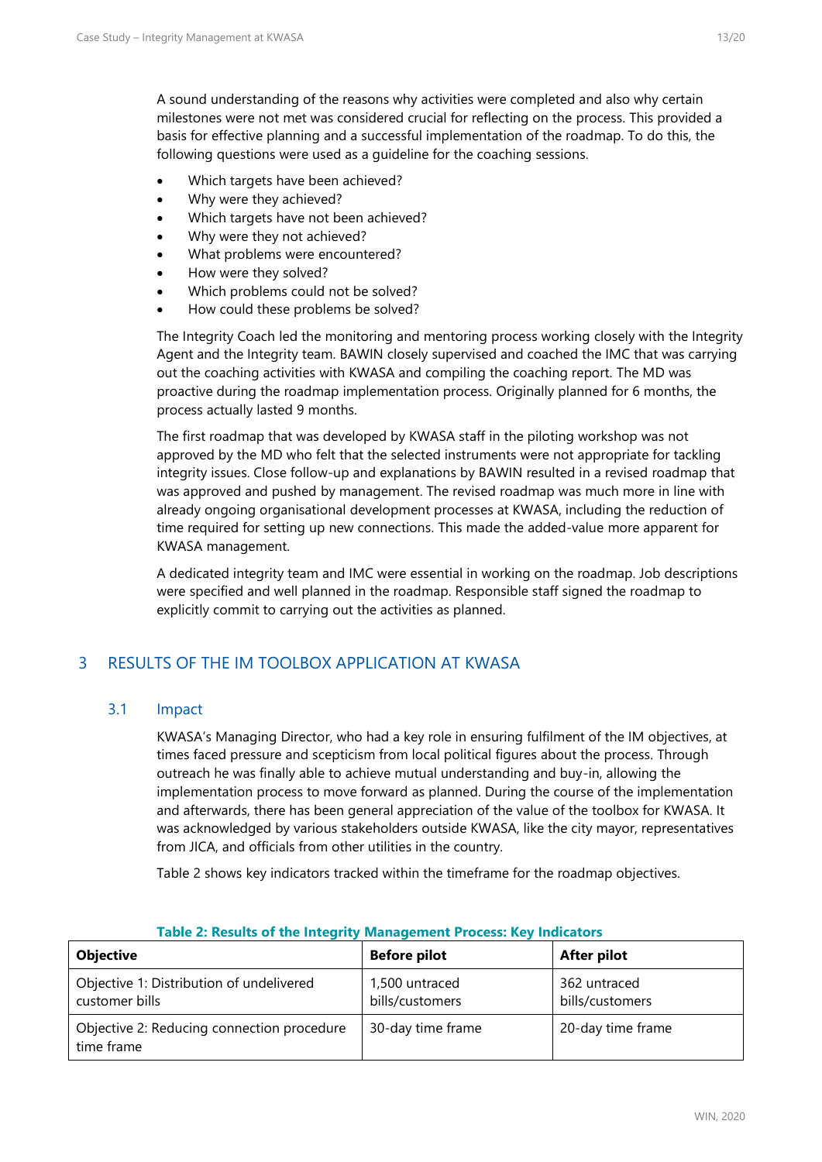A sound understanding of the reasons why activities were completed and also why certain milestones were not met was considered crucial for reflecting on the process. This provided a basis for effective planning and a successful implementation of the roadmap. To do this, the following questions were used as a guideline for the coaching sessions.

- Which targets have been achieved?
- Why were they achieved?
- Which targets have not been achieved?
- Why were they not achieved?
- What problems were encountered?
- How were they solved?
- Which problems could not be solved?
- How could these problems be solved?

The Integrity Coach led the monitoring and mentoring process working closely with the Integrity Agent and the Integrity team. BAWIN closely supervised and coached the IMC that was carrying out the coaching activities with KWASA and compiling the coaching report. The MD was proactive during the roadmap implementation process. Originally planned for 6 months, the process actually lasted 9 months.

The first roadmap that was developed by KWASA staff in the piloting workshop was not approved by the MD who felt that the selected instruments were not appropriate for tackling integrity issues. Close follow-up and explanations by BAWIN resulted in a revised roadmap that was approved and pushed by management. The revised roadmap was much more in line with already ongoing organisational development processes at KWASA, including the reduction of time required for setting up new connections. This made the added-value more apparent for KWASA management.

A dedicated integrity team and IMC were essential in working on the roadmap. Job descriptions were specified and well planned in the roadmap. Responsible staff signed the roadmap to explicitly commit to carrying out the activities as planned.

# <span id="page-12-1"></span><span id="page-12-0"></span>3 RESULTS OF THE IM TOOLBOX APPLICATION AT KWASA

# 3.1 Impact

KWASA's Managing Director, who had a key role in ensuring fulfilment of the IM objectives, at times faced pressure and scepticism from local political figures about the process. Through outreach he was finally able to achieve mutual understanding and buy-in, allowing the implementation process to move forward as planned. During the course of the implementation and afterwards, there has been general appreciation of the value of the toolbox for KWASA. It was acknowledged by various stakeholders outside KWASA, like the city mayor, representatives from JICA, and officials from other utilities in the country.

Table 2 shows key indicators tracked within the timeframe for the roadmap objectives.

| TUBIC E. ROJUNJ OT MIC MRCUHLY MUMUUQUMCHI I TOGOJJ. ROY MUMKUGIJ |                                   |                                 |  |
|-------------------------------------------------------------------|-----------------------------------|---------------------------------|--|
| <b>Objective</b>                                                  | <b>Before pilot</b>               | After pilot                     |  |
| Objective 1: Distribution of undelivered<br>customer bills        | 1,500 untraced<br>bills/customers | 362 untraced<br>bills/customers |  |
| Objective 2: Reducing connection procedure<br>time frame          | 30-day time frame                 | 20-day time frame               |  |

# **Table 2: Results of the Integrity Management Process: Key Indicators**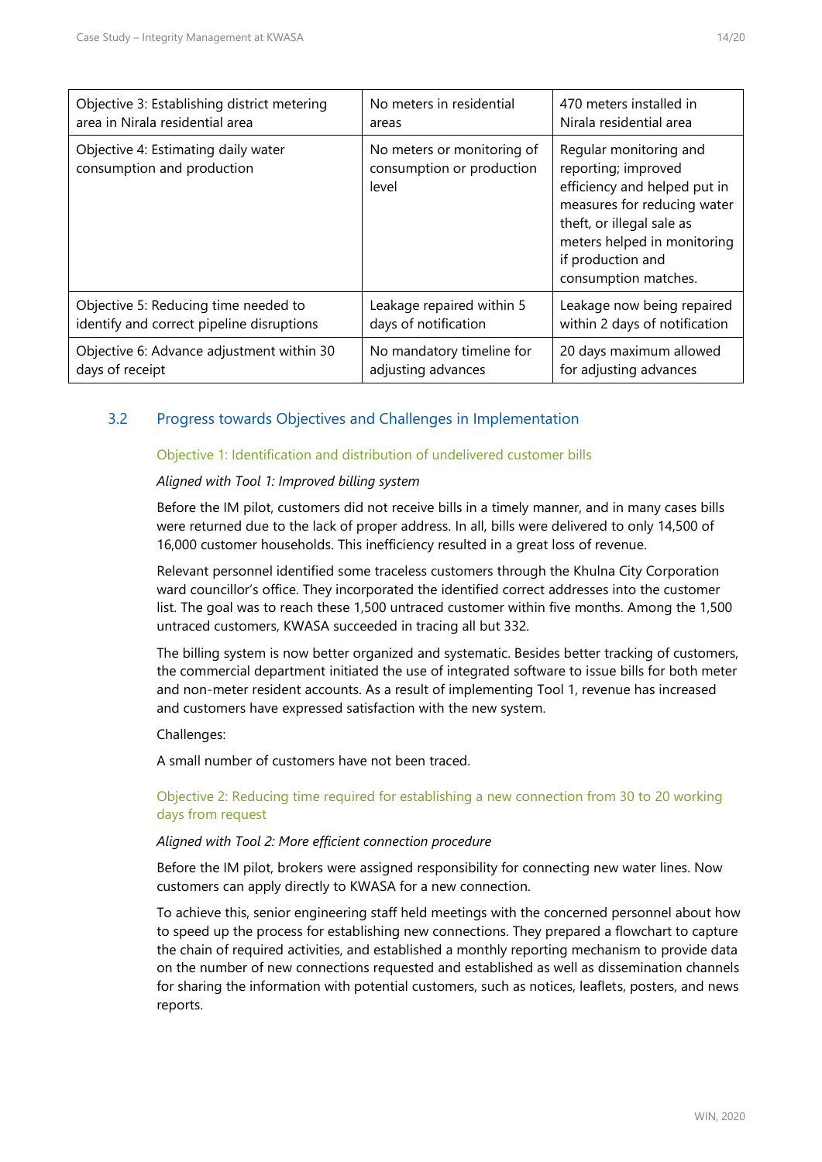| Objective 3: Establishing district metering                       | No meters in residential                                         | 470 meters installed in                                                                                                                                                                                               |
|-------------------------------------------------------------------|------------------------------------------------------------------|-----------------------------------------------------------------------------------------------------------------------------------------------------------------------------------------------------------------------|
| area in Nirala residential area                                   | areas                                                            | Nirala residential area                                                                                                                                                                                               |
| Objective 4: Estimating daily water<br>consumption and production | No meters or monitoring of<br>consumption or production<br>level | Regular monitoring and<br>reporting; improved<br>efficiency and helped put in<br>measures for reducing water<br>theft, or illegal sale as<br>meters helped in monitoring<br>if production and<br>consumption matches. |
| Objective 5: Reducing time needed to                              | Leakage repaired within 5                                        | Leakage now being repaired                                                                                                                                                                                            |
| identify and correct pipeline disruptions                         | days of notification                                             | within 2 days of notification                                                                                                                                                                                         |
| Objective 6: Advance adjustment within 30                         | No mandatory timeline for                                        | 20 days maximum allowed                                                                                                                                                                                               |
| days of receipt                                                   | adjusting advances                                               | for adjusting advances                                                                                                                                                                                                |

# <span id="page-13-0"></span>3.2 Progress towards Objectives and Challenges in Implementation

# Objective 1: Identification and distribution of undelivered customer bills

# *Aligned with Tool 1: Improved billing system*

Before the IM pilot, customers did not receive bills in a timely manner, and in many cases bills were returned due to the lack of proper address. In all, bills were delivered to only 14,500 of 16,000 customer households. This inefficiency resulted in a great loss of revenue.

Relevant personnel identified some traceless customers through the Khulna City Corporation ward councillor's office. They incorporated the identified correct addresses into the customer list. The goal was to reach these 1,500 untraced customer within five months. Among the 1,500 untraced customers, KWASA succeeded in tracing all but 332.

The billing system is now better organized and systematic. Besides better tracking of customers, the commercial department initiated the use of integrated software to issue bills for both meter and non-meter resident accounts. As a result of implementing Tool 1, revenue has increased and customers have expressed satisfaction with the new system.

# Challenges:

A small number of customers have not been traced.

# Objective 2: Reducing time required for establishing a new connection from 30 to 20 working days from request

# *Aligned with Tool 2: More efficient connection procedure*

Before the IM pilot, brokers were assigned responsibility for connecting new water lines. Now customers can apply directly to KWASA for a new connection.

To achieve this, senior engineering staff held meetings with the concerned personnel about how to speed up the process for establishing new connections. They prepared a flowchart to capture the chain of required activities, and established a monthly reporting mechanism to provide data on the number of new connections requested and established as well as dissemination channels for sharing the information with potential customers, such as notices, leaflets, posters, and news reports.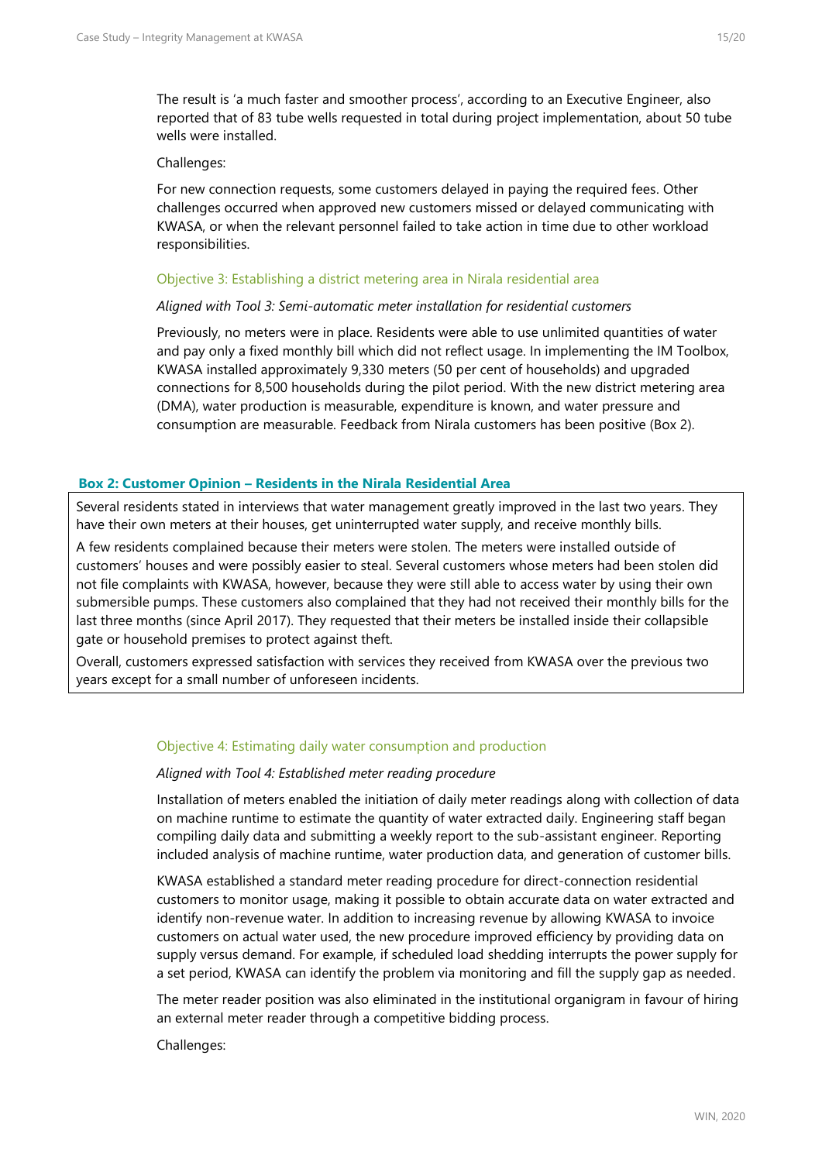The result is 'a much faster and smoother process', according to an Executive Engineer, also reported that of 83 tube wells requested in total during project implementation, about 50 tube wells were installed.

#### Challenges:

For new connection requests, some customers delayed in paying the required fees. Other challenges occurred when approved new customers missed or delayed communicating with KWASA, or when the relevant personnel failed to take action in time due to other workload responsibilities.

#### Objective 3: Establishing a district metering area in Nirala residential area

#### *Aligned with Tool 3: Semi-automatic meter installation for residential customers*

Previously, no meters were in place. Residents were able to use unlimited quantities of water and pay only a fixed monthly bill which did not reflect usage. In implementing the IM Toolbox, KWASA installed approximately 9,330 meters (50 per cent of households) and upgraded connections for 8,500 households during the pilot period. With the new district metering area (DMA), water production is measurable, expenditure is known, and water pressure and consumption are measurable. Feedback from Nirala customers has been positive (Box 2).

#### **Box 2: Customer Opinion – Residents in the Nirala Residential Area**

Several residents stated in interviews that water management greatly improved in the last two years. They have their own meters at their houses, get uninterrupted water supply, and receive monthly bills.

A few residents complained because their meters were stolen. The meters were installed outside of customers' houses and were possibly easier to steal. Several customers whose meters had been stolen did not file complaints with KWASA, however, because they were still able to access water by using their own submersible pumps. These customers also complained that they had not received their monthly bills for the last three months (since April 2017). They requested that their meters be installed inside their collapsible gate or household premises to protect against theft.

Overall, customers expressed satisfaction with services they received from KWASA over the previous two years except for a small number of unforeseen incidents.

# Objective 4: Estimating daily water consumption and production

#### *Aligned with Tool 4: Established meter reading procedure*

Installation of meters enabled the initiation of daily meter readings along with collection of data on machine runtime to estimate the quantity of water extracted daily. Engineering staff began compiling daily data and submitting a weekly report to the sub-assistant engineer. Reporting included analysis of machine runtime, water production data, and generation of customer bills.

KWASA established a standard meter reading procedure for direct-connection residential customers to monitor usage, making it possible to obtain accurate data on water extracted and identify non-revenue water. In addition to increasing revenue by allowing KWASA to invoice customers on actual water used, the new procedure improved efficiency by providing data on supply versus demand. For example, if scheduled load shedding interrupts the power supply for a set period, KWASA can identify the problem via monitoring and fill the supply gap as needed.

The meter reader position was also eliminated in the institutional organigram in favour of hiring an external meter reader through a competitive bidding process.

Challenges: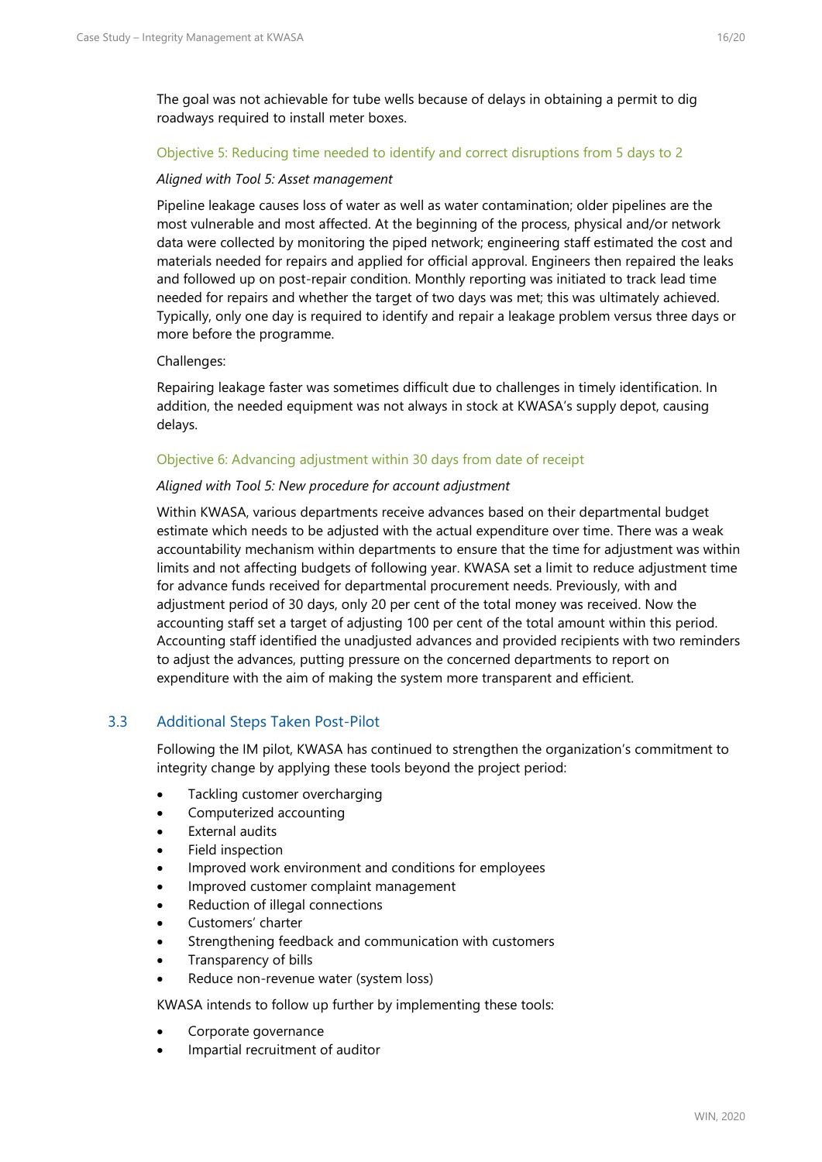The goal was not achievable for tube wells because of delays in obtaining a permit to dig roadways required to install meter boxes.

#### Objective 5: Reducing time needed to identify and correct disruptions from 5 days to 2

#### *Aligned with Tool 5: Asset management*

Pipeline leakage causes loss of water as well as water contamination; older pipelines are the most vulnerable and most affected. At the beginning of the process, physical and/or network data were collected by monitoring the piped network; engineering staff estimated the cost and materials needed for repairs and applied for official approval. Engineers then repaired the leaks and followed up on post-repair condition. Monthly reporting was initiated to track lead time needed for repairs and whether the target of two days was met; this was ultimately achieved. Typically, only one day is required to identify and repair a leakage problem versus three days or more before the programme.

#### Challenges:

Repairing leakage faster was sometimes difficult due to challenges in timely identification. In addition, the needed equipment was not always in stock at KWASA's supply depot, causing delays.

#### Objective 6: Advancing adjustment within 30 days from date of receipt

#### *Aligned with Tool 5: New procedure for account adjustment*

Within KWASA, various departments receive advances based on their departmental budget estimate which needs to be adjusted with the actual expenditure over time. There was a weak accountability mechanism within departments to ensure that the time for adjustment was within limits and not affecting budgets of following year. KWASA set a limit to reduce adjustment time for advance funds received for departmental procurement needs. Previously, with and adjustment period of 30 days, only 20 per cent of the total money was received. Now the accounting staff set a target of adjusting 100 per cent of the total amount within this period. Accounting staff identified the unadjusted advances and provided recipients with two reminders to adjust the advances, putting pressure on the concerned departments to report on expenditure with the aim of making the system more transparent and efficient.

# <span id="page-15-0"></span>3.3 Additional Steps Taken Post-Pilot

Following the IM pilot, KWASA has continued to strengthen the organization's commitment to integrity change by applying these tools beyond the project period:

- Tackling customer overcharging
- Computerized accounting
- External audits
- Field inspection
- Improved work environment and conditions for employees
- Improved customer complaint management
- Reduction of illegal connections
- Customers' charter
- Strengthening feedback and communication with customers
- Transparency of bills
- Reduce non-revenue water (system loss)

KWASA intends to follow up further by implementing these tools:

- Corporate governance
- Impartial recruitment of auditor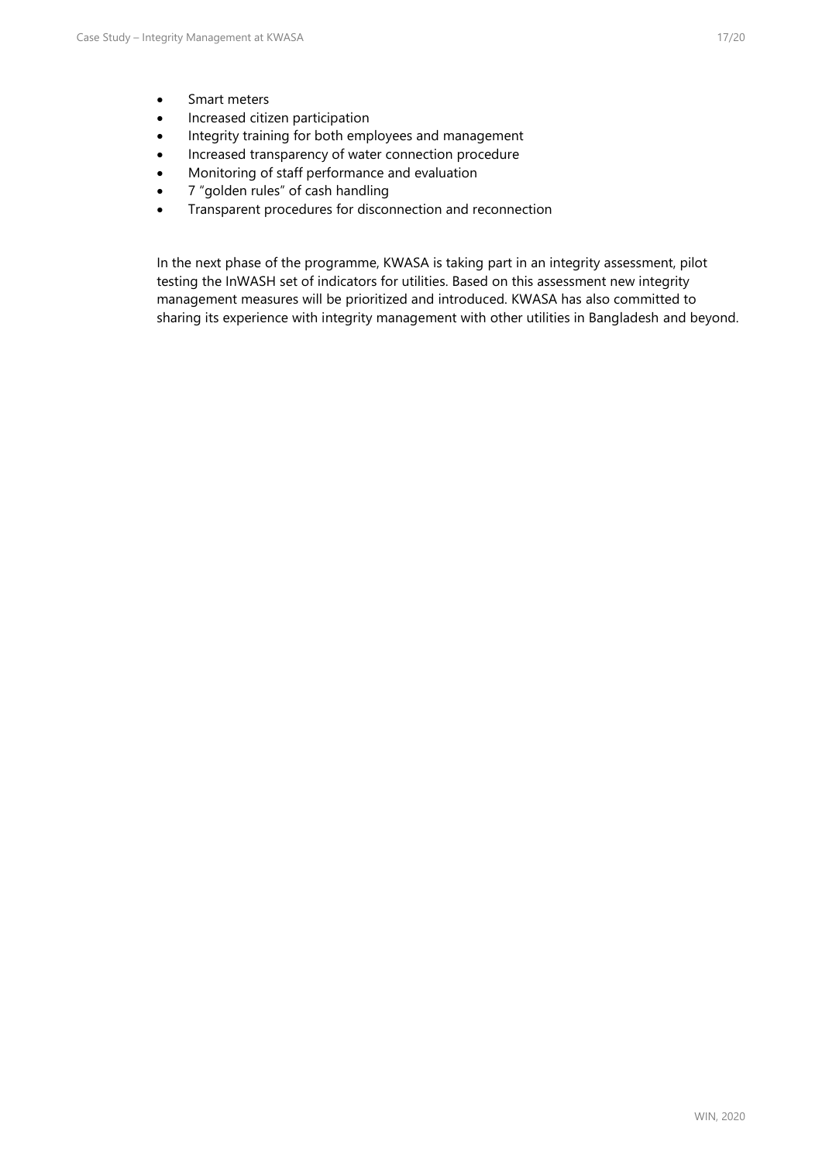- Smart meters
- Increased citizen participation
- Integrity training for both employees and management
- Increased transparency of water connection procedure
- Monitoring of staff performance and evaluation
- 7 "golden rules" of cash handling
- Transparent procedures for disconnection and reconnection

In the next phase of the programme, KWASA is taking part in an integrity assessment, pilot testing the InWASH set of indicators for utilities. Based on this assessment new integrity management measures will be prioritized and introduced. KWASA has also committed to sharing its experience with integrity management with other utilities in Bangladesh and beyond.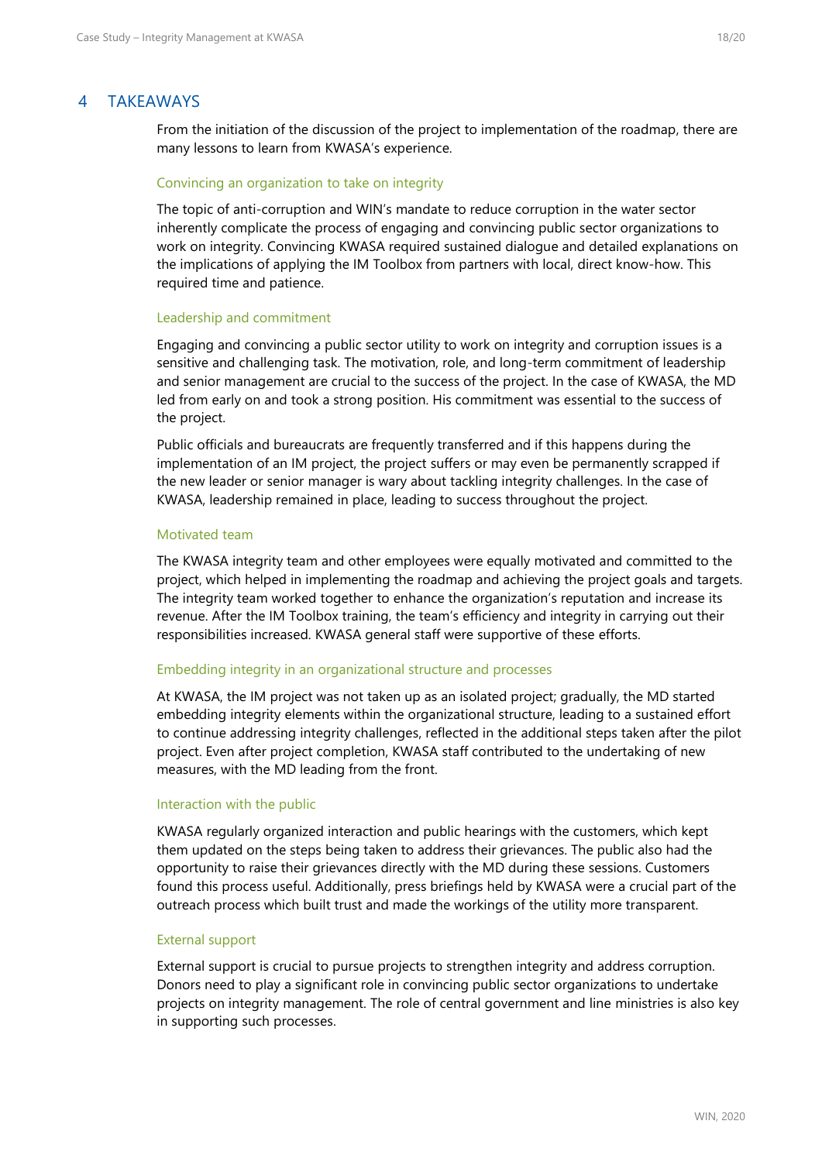# <span id="page-17-0"></span>4 TAKEAWAYS

From the initiation of the discussion of the project to implementation of the roadmap, there are many lessons to learn from KWASA's experience.

#### Convincing an organization to take on integrity

The topic of anti-corruption and WIN's mandate to reduce corruption in the water sector inherently complicate the process of engaging and convincing public sector organizations to work on integrity. Convincing KWASA required sustained dialogue and detailed explanations on the implications of applying the IM Toolbox from partners with local, direct know-how. This required time and patience.

#### Leadership and commitment

Engaging and convincing a public sector utility to work on integrity and corruption issues is a sensitive and challenging task. The motivation, role, and long-term commitment of leadership and senior management are crucial to the success of the project. In the case of KWASA, the MD led from early on and took a strong position. His commitment was essential to the success of the project.

Public officials and bureaucrats are frequently transferred and if this happens during the implementation of an IM project, the project suffers or may even be permanently scrapped if the new leader or senior manager is wary about tackling integrity challenges. In the case of KWASA, leadership remained in place, leading to success throughout the project.

#### Motivated team

The KWASA integrity team and other employees were equally motivated and committed to the project, which helped in implementing the roadmap and achieving the project goals and targets. The integrity team worked together to enhance the organization's reputation and increase its revenue. After the IM Toolbox training, the team's efficiency and integrity in carrying out their responsibilities increased. KWASA general staff were supportive of these efforts.

# Embedding integrity in an organizational structure and processes

At KWASA, the IM project was not taken up as an isolated project; gradually, the MD started embedding integrity elements within the organizational structure, leading to a sustained effort to continue addressing integrity challenges, reflected in the additional steps taken after the pilot project. Even after project completion, KWASA staff contributed to the undertaking of new measures, with the MD leading from the front.

#### Interaction with the public

KWASA regularly organized interaction and public hearings with the customers, which kept them updated on the steps being taken to address their grievances. The public also had the opportunity to raise their grievances directly with the MD during these sessions. Customers found this process useful. Additionally, press briefings held by KWASA were a crucial part of the outreach process which built trust and made the workings of the utility more transparent.

#### External support

External support is crucial to pursue projects to strengthen integrity and address corruption. Donors need to play a significant role in convincing public sector organizations to undertake projects on integrity management. The role of central government and line ministries is also key in supporting such processes.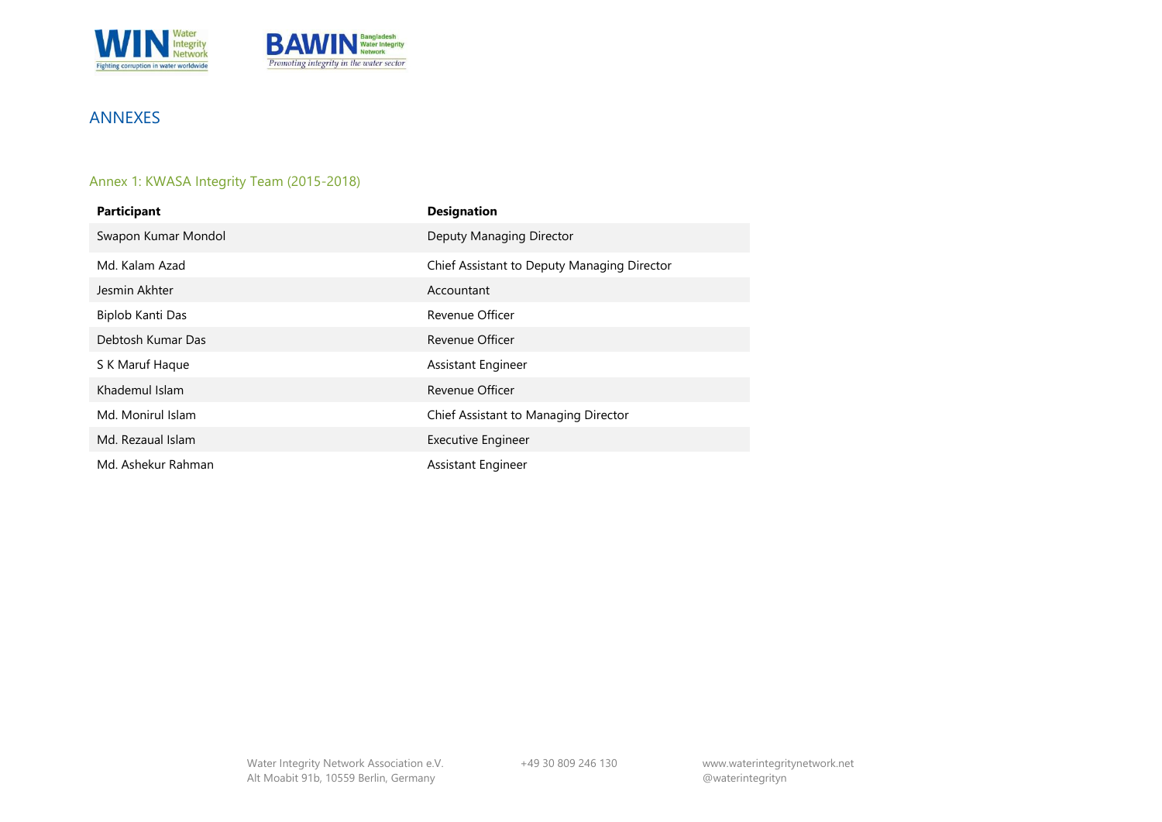



# ANNEXES

#### Annex 1: KWASA Integrity Team (2015-2018)

<span id="page-18-0"></span>

| <b>Participant</b>  | <b>Designation</b>                          |
|---------------------|---------------------------------------------|
| Swapon Kumar Mondol | Deputy Managing Director                    |
| Md. Kalam Azad      | Chief Assistant to Deputy Managing Director |
| Jesmin Akhter       | Accountant                                  |
| Biplob Kanti Das    | Revenue Officer                             |
| Debtosh Kumar Das   | Revenue Officer                             |
| S K Maruf Haque     | <b>Assistant Engineer</b>                   |
| Khademul Islam      | Revenue Officer                             |
| Md. Monirul Islam   | Chief Assistant to Managing Director        |
| Md. Rezaual Islam   | <b>Executive Engineer</b>                   |
| Md. Ashekur Rahman  | Assistant Engineer                          |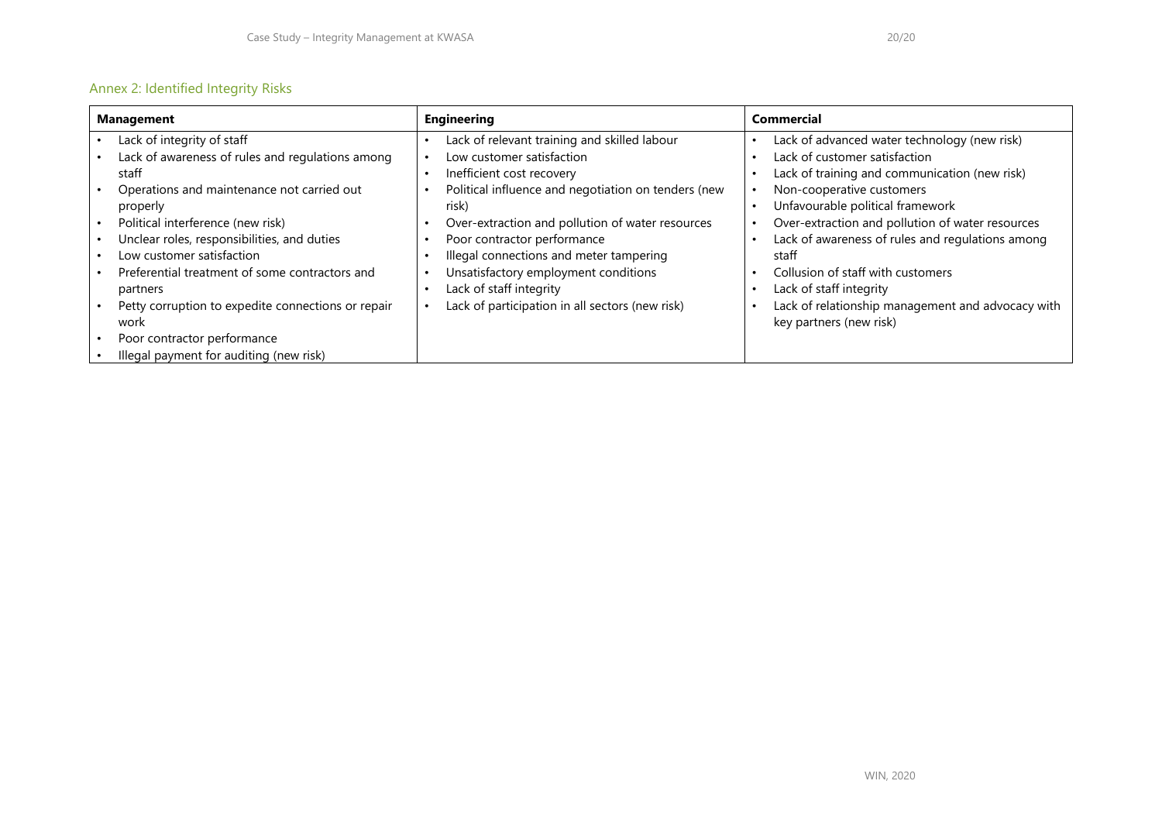# Annex 2: Identified Integrity Risks

| <b>Management</b>                                  | <b>Engineering</b>                                  | Commercial                                                    |
|----------------------------------------------------|-----------------------------------------------------|---------------------------------------------------------------|
| Lack of integrity of staff                         | Lack of relevant training and skilled labour        | Lack of advanced water technology (new risk)                  |
| Lack of awareness of rules and regulations among   | Low customer satisfaction                           | Lack of customer satisfaction                                 |
| staff                                              | Inefficient cost recovery                           | Lack of training and communication (new risk)                 |
| Operations and maintenance not carried out         | Political influence and negotiation on tenders (new | Non-cooperative customers                                     |
| properly                                           | risk)                                               | Unfavourable political framework<br>$\bullet$                 |
| Political interference (new risk)                  | Over-extraction and pollution of water resources    | Over-extraction and pollution of water resources<br>$\bullet$ |
| Unclear roles, responsibilities, and duties        | Poor contractor performance                         | Lack of awareness of rules and regulations among<br>$\bullet$ |
| Low customer satisfaction                          | Illegal connections and meter tampering             | staff                                                         |
| Preferential treatment of some contractors and     | Unsatisfactory employment conditions                | Collusion of staff with customers                             |
| partners                                           | Lack of staff integrity                             | Lack of staff integrity                                       |
| Petty corruption to expedite connections or repair | Lack of participation in all sectors (new risk)     | Lack of relationship management and advocacy with             |
| work                                               |                                                     | key partners (new risk)                                       |
| Poor contractor performance                        |                                                     |                                                               |
| Illegal payment for auditing (new risk)            |                                                     |                                                               |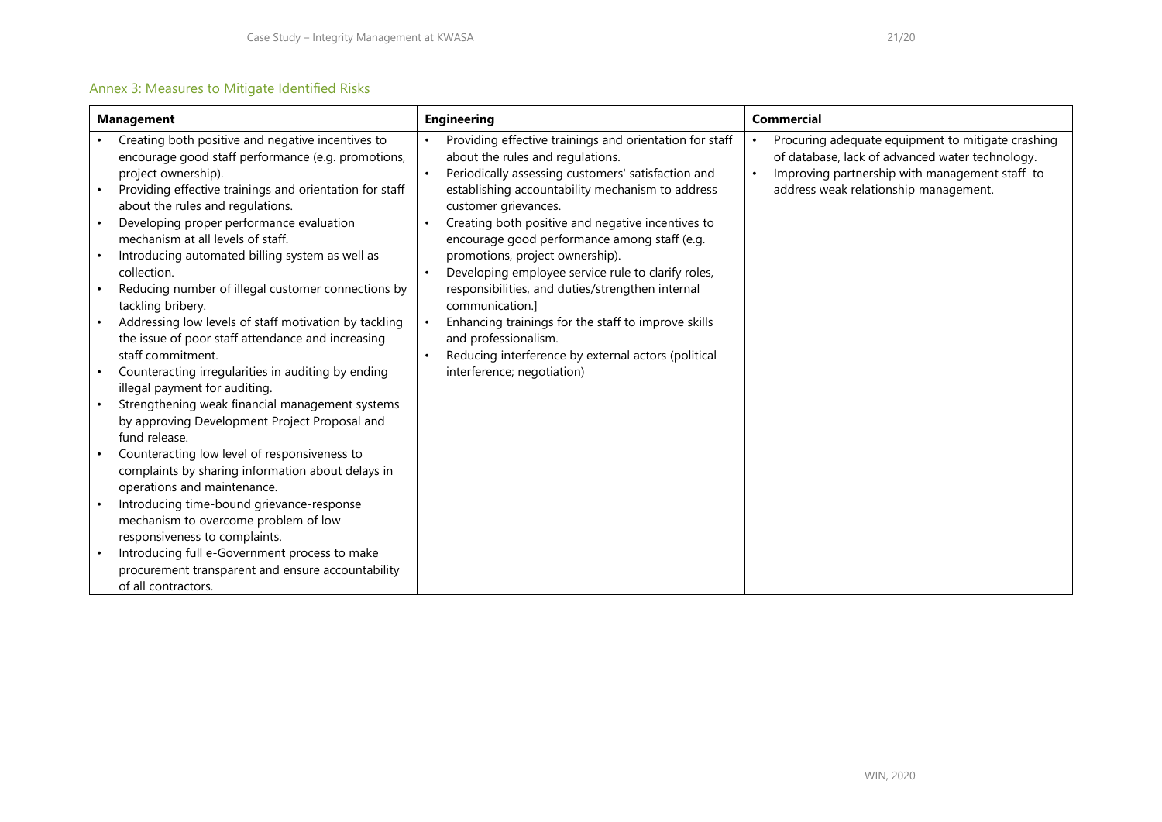# Annex 3: Measures to Mitigate Identified Risks

| <b>Management</b>                                                                                                                                                                                                                                                                                                                                                                                                                                                                                                                                                                                                                                                                                                                                                                                                                                                                                                                              | <b>Engineering</b>                                                                                                                                                                                                                                                                                                                                                                                                                                                                                                                                                                                                                                                     | Commercial                                                                                                                                                                                      |
|------------------------------------------------------------------------------------------------------------------------------------------------------------------------------------------------------------------------------------------------------------------------------------------------------------------------------------------------------------------------------------------------------------------------------------------------------------------------------------------------------------------------------------------------------------------------------------------------------------------------------------------------------------------------------------------------------------------------------------------------------------------------------------------------------------------------------------------------------------------------------------------------------------------------------------------------|------------------------------------------------------------------------------------------------------------------------------------------------------------------------------------------------------------------------------------------------------------------------------------------------------------------------------------------------------------------------------------------------------------------------------------------------------------------------------------------------------------------------------------------------------------------------------------------------------------------------------------------------------------------------|-------------------------------------------------------------------------------------------------------------------------------------------------------------------------------------------------|
| Creating both positive and negative incentives to<br>encourage good staff performance (e.g. promotions,<br>project ownership).<br>Providing effective trainings and orientation for staff<br>about the rules and regulations.<br>Developing proper performance evaluation<br>mechanism at all levels of staff.<br>Introducing automated billing system as well as<br>collection.<br>Reducing number of illegal customer connections by<br>tackling bribery.<br>Addressing low levels of staff motivation by tackling<br>the issue of poor staff attendance and increasing<br>staff commitment.<br>Counteracting irregularities in auditing by ending<br>illegal payment for auditing.<br>Strengthening weak financial management systems<br>by approving Development Project Proposal and<br>fund release.<br>Counteracting low level of responsiveness to<br>complaints by sharing information about delays in<br>operations and maintenance. | Providing effective trainings and orientation for staff<br>about the rules and regulations.<br>Periodically assessing customers' satisfaction and<br>establishing accountability mechanism to address<br>customer grievances.<br>Creating both positive and negative incentives to<br>encourage good performance among staff (e.g.<br>promotions, project ownership).<br>Developing employee service rule to clarify roles,<br>responsibilities, and duties/strengthen internal<br>communication.]<br>Enhancing trainings for the staff to improve skills<br>and professionalism.<br>Reducing interference by external actors (political<br>interference; negotiation) | Procuring adequate equipment to mitigate crashing<br>of database, lack of advanced water technology.<br>Improving partnership with management staff to<br>address weak relationship management. |
| mechanism to overcome problem of low<br>responsiveness to complaints.<br>Introducing full e-Government process to make<br>procurement transparent and ensure accountability                                                                                                                                                                                                                                                                                                                                                                                                                                                                                                                                                                                                                                                                                                                                                                    |                                                                                                                                                                                                                                                                                                                                                                                                                                                                                                                                                                                                                                                                        |                                                                                                                                                                                                 |
| Introducing time-bound grievance-response<br>of all contractors.                                                                                                                                                                                                                                                                                                                                                                                                                                                                                                                                                                                                                                                                                                                                                                                                                                                                               |                                                                                                                                                                                                                                                                                                                                                                                                                                                                                                                                                                                                                                                                        |                                                                                                                                                                                                 |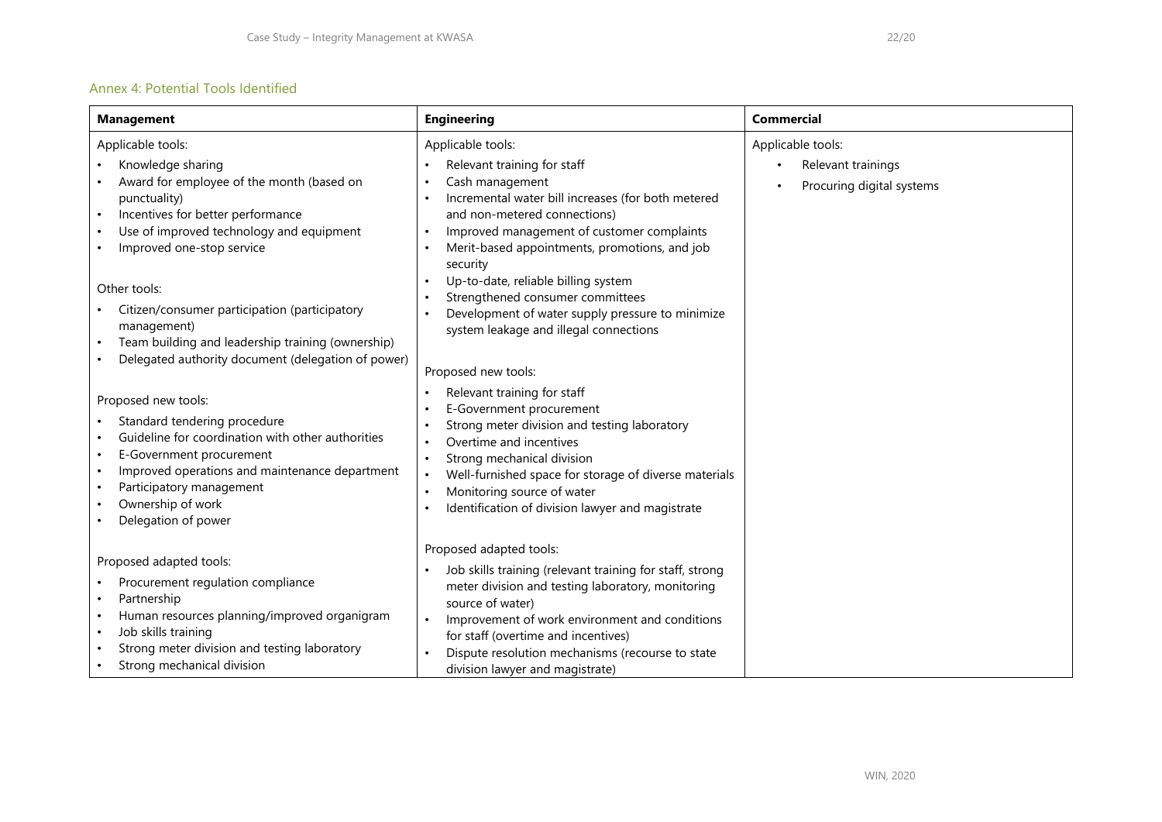# Annex 4: Potential Tools Identified

| <b>Management</b>                                                                                                                                                                                                                                                                                 | <b>Engineering</b>                                                                                                                                                                                                                                                                                                                                                                                                                            | <b>Commercial</b>                                                    |
|---------------------------------------------------------------------------------------------------------------------------------------------------------------------------------------------------------------------------------------------------------------------------------------------------|-----------------------------------------------------------------------------------------------------------------------------------------------------------------------------------------------------------------------------------------------------------------------------------------------------------------------------------------------------------------------------------------------------------------------------------------------|----------------------------------------------------------------------|
| Applicable tools:<br>Knowledge sharing<br>Award for employee of the month (based on<br>punctuality)<br>Incentives for better performance<br>Use of improved technology and equipment<br>Improved one-stop service<br>Other tools:<br>Citizen/consumer participation (participatory<br>management) | Applicable tools:<br>Relevant training for staff<br>Cash management<br>Incremental water bill increases (for both metered<br>and non-metered connections)<br>Improved management of customer complaints<br>Merit-based appointments, promotions, and job<br>security<br>Up-to-date, reliable billing system<br>Strengthened consumer committees<br>Development of water supply pressure to minimize<br>system leakage and illegal connections | Applicable tools:<br>Relevant trainings<br>Procuring digital systems |
| Team building and leadership training (ownership)<br>Delegated authority document (delegation of power)<br>Proposed new tools:                                                                                                                                                                    | Proposed new tools:<br>Relevant training for staff<br>E-Government procurement                                                                                                                                                                                                                                                                                                                                                                |                                                                      |
| Standard tendering procedure<br>Guideline for coordination with other authorities<br>E-Government procurement<br>Improved operations and maintenance department<br>Participatory management<br>Ownership of work<br>Delegation of power                                                           | Strong meter division and testing laboratory<br>Overtime and incentives<br>Strong mechanical division<br>Well-furnished space for storage of diverse materials<br>Monitoring source of water<br>$\bullet$<br>Identification of division lawyer and magistrate                                                                                                                                                                                 |                                                                      |
| Proposed adapted tools:<br>Procurement regulation compliance<br>Partnership<br>Human resources planning/improved organigram<br>Job skills training<br>Strong meter division and testing laboratory<br>Strong mechanical division                                                                  | Proposed adapted tools:<br>Job skills training (relevant training for staff, strong<br>meter division and testing laboratory, monitoring<br>source of water)<br>Improvement of work environment and conditions<br>for staff (overtime and incentives)<br>Dispute resolution mechanisms (recourse to state<br>division lawyer and magistrate)                                                                                                  |                                                                      |